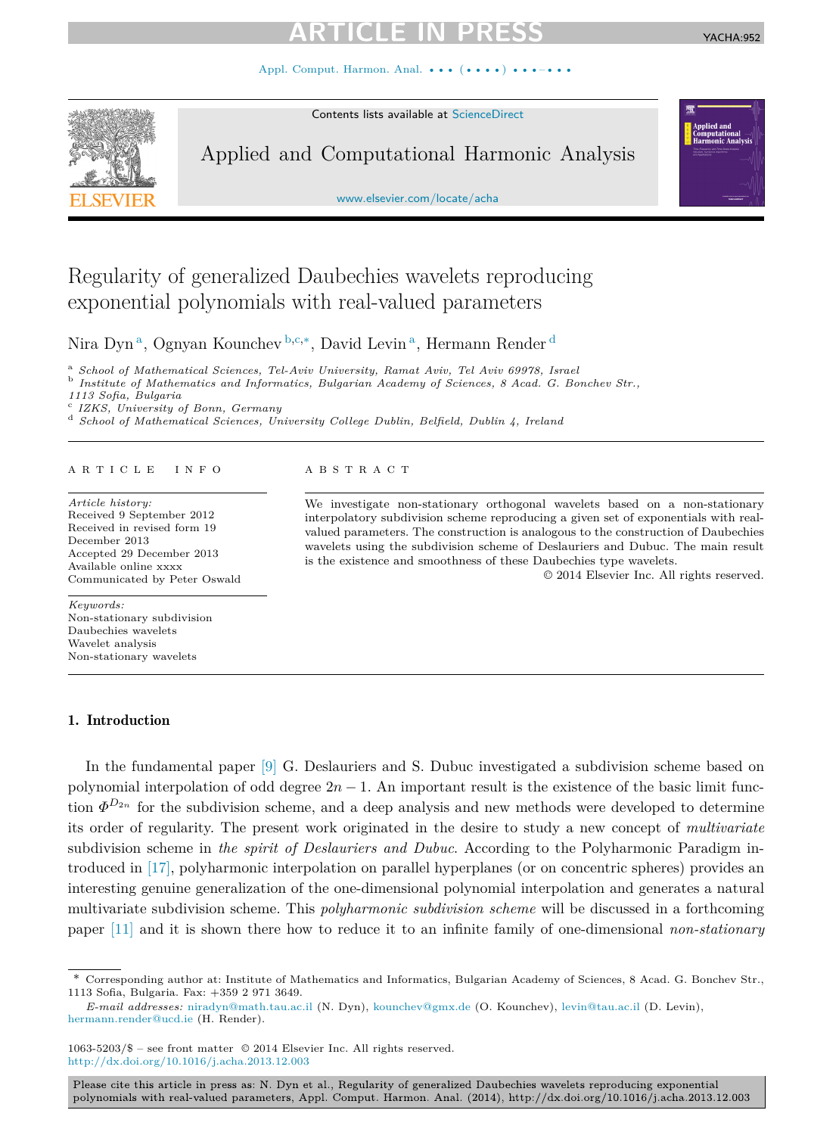Appl. Comput. Harmon. Anal. ••• (••••) •

Contents lists available at [ScienceDirect](http://www.ScienceDirect.com/)



YACHA:952

Applied and Computational Harmonic Analysis

[www.elsevier.com/locate/acha](http://www.elsevier.com/locate/acha)

# Regularity of generalized Daubechies wavelets reproducing exponential polynomials with real-valued parameters

Nira Dyn <sup>a</sup>, Ognyan Kounchev <sup>b</sup>*,*c*,*∗, David Levin <sup>a</sup>, Hermann Render <sup>d</sup>

<sup>a</sup> *School of Mathematical Sciences, Tel-Aviv University, Ramat Aviv, Tel Aviv 69978, Israel* <sup>b</sup> *Institute of Mathematics and Informatics, Bulgarian Academy of Sciences, 8 Acad. G. Bonchev Str.,*

*1113 Sofia, Bulgaria*

<sup>c</sup> *IZKS, University of Bonn, Germany*<br><sup>d</sup> *School of Mathematical Sciences, University College Dublin, Belfield, Dublin 4, Ireland* 

# article info abstract

*Article history:* Received 9 September 2012 Received in revised form 19 December 2013 Accepted 29 December 2013 Available online xxxx Communicated by Peter Oswald

*Keywords:* Non-stationary subdivision Daubechies wavelets Wavelet analysis Non-stationary wavelets

# 1. Introduction

We investigate non-stationary orthogonal wavelets based on a non-stationary interpolatory subdivision scheme reproducing a given set of exponentials with realvalued parameters. The construction is analogous to the construction of Daubechies wavelets using the subdivision scheme of Deslauriers and Dubuc. The main result is the existence and smoothness of these Daubechies type wavelets.

© 2014 Elsevier Inc. All rights reserved.

In the fundamental paper [\[9\]](#page-17-0) G. Deslauriers and S. Dubuc investigated a subdivision scheme based on polynomial interpolation of odd degree  $2n - 1$ . An important result is the existence of the basic limit function  $\Phi^{D_{2n}}$  for the subdivision scheme, and a deep analysis and new methods were developed to determine its order of regularity. The present work originated in the desire to study a new concept of *multivariate* subdivision scheme in *the spirit of Deslauriers and Dubuc*. According to the Polyharmonic Paradigm introduced in [\[17\],](#page-18-0) polyharmonic interpolation on parallel hyperplanes (or on concentric spheres) provides an interesting genuine generalization of the one-dimensional polynomial interpolation and generates a natural multivariate subdivision scheme. This *polyharmonic subdivision scheme* will be discussed in a forthcoming paper [\[11\]](#page-18-0) and it is shown there how to reduce it to an infinite family of one-dimensional *non-stationary*

<sup>\*</sup> Corresponding author at: Institute of Mathematics and Informatics, Bulgarian Academy of Sciences, 8 Acad. G. Bonchev Str., 1113 Sofia, Bulgaria. Fax: +359 2 971 3649.

*E-mail addresses:* [niradyn@math.tau.ac.il](mailto:niradyn@math.tau.ac.il) (N. Dyn), [kounchev@gmx.de](mailto:kounchev@gmx.de) (O. Kounchev), [levin@tau.ac.il](mailto:levin@tau.ac.il) (D. Levin), [hermann.render@ucd.ie](mailto:hermann.render@ucd.ie) (H. Render).

<sup>1063-5203/\$ –</sup> see front matter © 2014 Elsevier Inc. All rights reserved. <http://dx.doi.org/10.1016/j.acha.2013.12.003>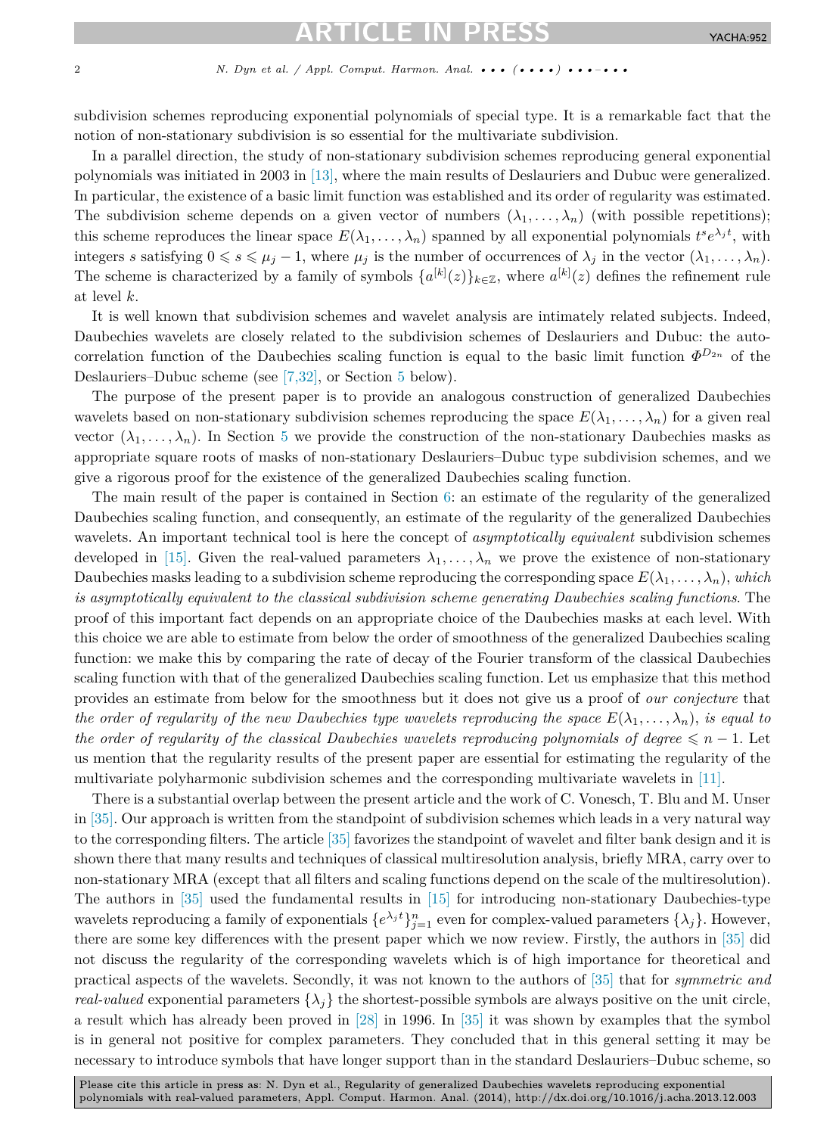# TICI E IN P

## 2 *N. Dyn et al. / Appl. Comput. Harmon. Anal. ••• (••••) •••–•••*

subdivision schemes reproducing exponential polynomials of special type. It is a remarkable fact that the notion of non-stationary subdivision is so essential for the multivariate subdivision.

In a parallel direction, the study of non-stationary subdivision schemes reproducing general exponential polynomials was initiated in 2003 in [\[13\],](#page-18-0) where the main results of Deslauriers and Dubuc were generalized. In particular, the existence of a basic limit function was established and its order of regularity was estimated. The subdivision scheme depends on a given vector of numbers  $(\lambda_1, \ldots, \lambda_n)$  (with possible repetitions); this scheme reproduces the linear space  $E(\lambda_1, \ldots, \lambda_n)$  spanned by all exponential polynomials  $t^s e^{\lambda_j t}$ , with integers *s* satisfying  $0 \le s \le \mu_j - 1$ , where  $\mu_j$  is the number of occurrences of  $\lambda_j$  in the vector  $(\lambda_1, \ldots, \lambda_n)$ . The scheme is characterized by a family of symbols  $\{a^{[k]}(z)\}_{k\in\mathbb{Z}}$ , where  $a^{[k]}(z)$  defines the refinement rule at level *k*.

It is well known that subdivision schemes and wavelet analysis are intimately related subjects. Indeed, Daubechies wavelets are closely related to the subdivision schemes of Deslauriers and Dubuc: the autocorrelation function of the Daubechies scaling function is equal to the basic limit function  $\Phi^{D_{2n}}$  of the Deslauriers–Dubuc scheme (see [\[7,32\],](#page-17-0) or Section [5](#page-11-0) below).

The purpose of the present paper is to provide an analogous construction of generalized Daubechies wavelets based on non-stationary subdivision schemes reproducing the space  $E(\lambda_1,\ldots,\lambda_n)$  for a given real vector  $(\lambda_1, \ldots, \lambda_n)$ . In Section [5](#page-11-0) we provide the construction of the non-stationary Daubechies masks as appropriate square roots of masks of non-stationary Deslauriers–Dubuc type subdivision schemes, and we give a rigorous proof for the existence of the generalized Daubechies scaling function.

The main result of the paper is contained in Section [6:](#page-14-0) an estimate of the regularity of the generalized Daubechies scaling function, and consequently, an estimate of the regularity of the generalized Daubechies wavelets. An important technical tool is here the concept of *asymptotically equivalent* subdivision schemes developed in [\[15\].](#page-18-0) Given the real-valued parameters  $\lambda_1, \ldots, \lambda_n$  we prove the existence of non-stationary Daubechies masks leading to a subdivision scheme reproducing the corresponding space  $E(\lambda_1, \ldots, \lambda_n)$ , *which is asymptotically equivalent to the classical subdivision scheme generating Daubechies scaling functions*. The proof of this important fact depends on an appropriate choice of the Daubechies masks at each level. With this choice we are able to estimate from below the order of smoothness of the generalized Daubechies scaling function: we make this by comparing the rate of decay of the Fourier transform of the classical Daubechies scaling function with that of the generalized Daubechies scaling function. Let us emphasize that this method provides an estimate from below for the smoothness but it does not give us a proof of *our conjecture* that *the order of regularity of the new Daubechies type wavelets reproducing the space*  $E(\lambda_1, \ldots, \lambda_n)$ , *is equal to the order of regularity of the classical Daubechies wavelets reproducing polynomials of degree*  $\leq n - 1$ . Let us mention that the regularity results of the present paper are essential for estimating the regularity of the multivariate polyharmonic subdivision schemes and the corresponding multivariate wavelets in [\[11\].](#page-18-0)

There is a substantial overlap between the present article and the work of C. Vonesch, T. Blu and M. Unser in [\[35\].](#page-18-0) Our approach is written from the standpoint of subdivision schemes which leads in a very natural way to the corresponding filters. The article [\[35\]](#page-18-0) favorizes the standpoint of wavelet and filter bank design and it is shown there that many results and techniques of classical multiresolution analysis, briefly MRA, carry over to non-stationary MRA (except that all filters and scaling functions depend on the scale of the multiresolution). The authors in [\[35\]](#page-18-0) used the fundamental results in [\[15\]](#page-18-0) for introducing non-stationary Daubechies-type wavelets reproducing a family of exponentials  $\{e^{\lambda_j t}\}_{j=1}^n$  even for complex-valued parameters  $\{\lambda_j\}$ . However, there are some key differences with the present paper which we now review. Firstly, the authors in [\[35\]](#page-18-0) did not discuss the regularity of the corresponding wavelets which is of high importance for theoretical and practical aspects of the wavelets. Secondly, it was not known to the authors of [\[35\]](#page-18-0) that for *symmetric and real-valued* exponential parameters  $\{\lambda_i\}$  the shortest-possible symbols are always positive on the unit circle, a result which has already been proved in [\[28\]](#page-18-0) in 1996. In [\[35\]](#page-18-0) it was shown by examples that the symbol is in general not positive for complex parameters. They concluded that in this general setting it may be necessary to introduce symbols that have longer support than in the standard Deslauriers–Dubuc scheme, so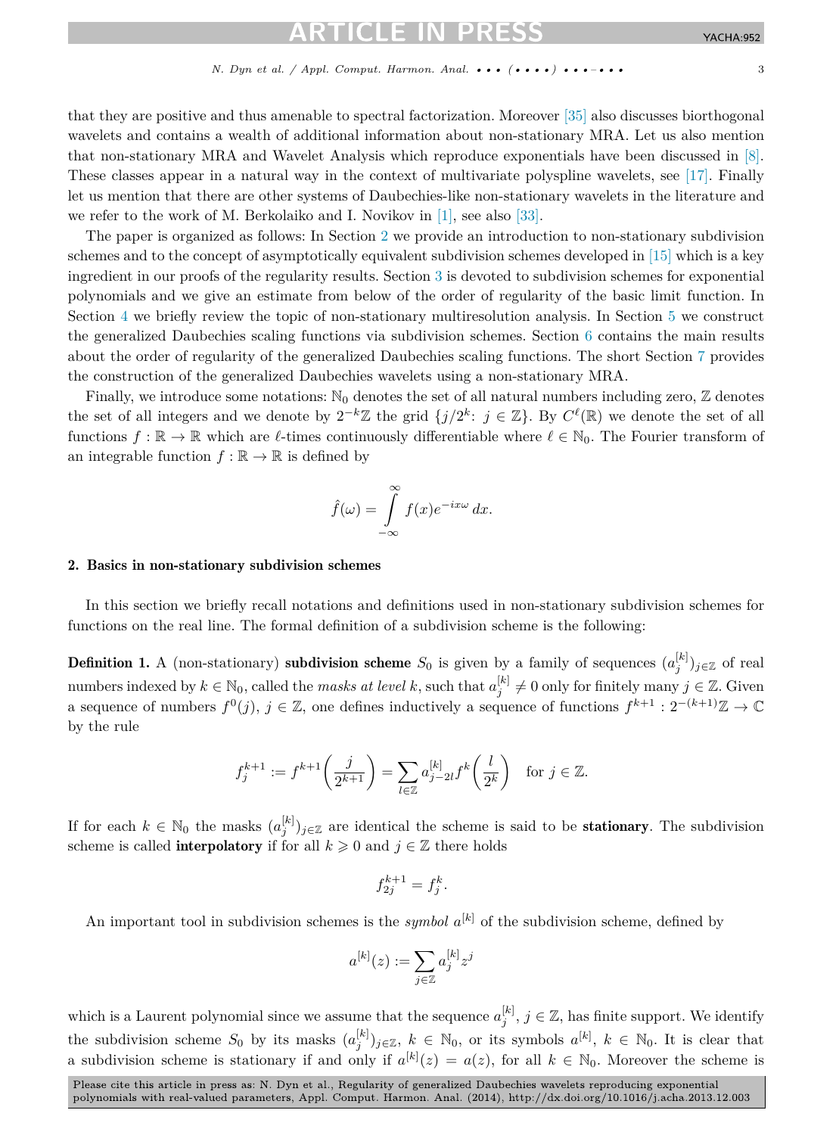that they are positive and thus amenable to spectral factorization. Moreover [\[35\]](#page-18-0) also discusses biorthogonal wavelets and contains a wealth of additional information about non-stationary MRA. Let us also mention that non-stationary MRA and Wavelet Analysis which reproduce exponentials have been discussed in [\[8\].](#page-17-0) These classes appear in a natural way in the context of multivariate polyspline wavelets, see [\[17\].](#page-18-0) Finally let us mention that there are other systems of Daubechies-like non-stationary wavelets in the literature and we refer to the work of M. Berkolaiko and I. Novikov in [\[1\],](#page-17-0) see also [\[33\].](#page-18-0)

The paper is organized as follows: In Section 2 we provide an introduction to non-stationary subdivision schemes and to the concept of asymptotically equivalent subdivision schemes developed in [\[15\]](#page-18-0) which is a key ingredient in our proofs of the regularity results. Section [3](#page-6-0) is devoted to subdivision schemes for exponential polynomials and we give an estimate from below of the order of regularity of the basic limit function. In Section [4](#page-10-0) we briefly review the topic of non-stationary multiresolution analysis. In Section [5](#page-11-0) we construct the generalized Daubechies scaling functions via subdivision schemes. Section [6](#page-14-0) contains the main results about the order of regularity of the generalized Daubechies scaling functions. The short Section [7](#page-15-0) provides the construction of the generalized Daubechies wavelets using a non-stationary MRA.

Finally, we introduce some notations:  $\mathbb{N}_0$  denotes the set of all natural numbers including zero,  $\mathbb Z$  denotes the set of all integers and we denote by  $2^{-k}\mathbb{Z}$  the grid  $\{j/2^k: j \in \mathbb{Z}\}$ . By  $C^{\ell}(\mathbb{R})$  we denote the set of all functions  $f : \mathbb{R} \to \mathbb{R}$  which are  $\ell$ -times continuously differentiable where  $\ell \in \mathbb{N}_0$ . The Fourier transform of an integrable function  $f : \mathbb{R} \to \mathbb{R}$  is defined by

$$
\hat{f}(\omega) = \int_{-\infty}^{\infty} f(x)e^{-ix\omega} dx.
$$

# 2. Basics in non-stationary subdivision schemes

In this section we briefly recall notations and definitions used in non-stationary subdivision schemes for functions on the real line. The formal definition of a subdivision scheme is the following:

Definition 1. A (non-stationary) subdivision scheme  $S_0$  is given by a family of sequences  $(a_j^{[k]})_{j\in\mathbb{Z}}$  of real numbers indexed by  $k \in \mathbb{N}_0$ , called the *masks at level*  $k$ , such that  $a_j^{[k]} \neq 0$  only for finitely many  $j \in \mathbb{Z}$ . Given a sequence of numbers  $f^{0}(j)$ ,  $j \in \mathbb{Z}$ , one defines inductively a sequence of functions  $f^{k+1}: 2^{-(k+1)}\mathbb{Z} \to \mathbb{C}$ by the rule

$$
f_j^{k+1} := f^{k+1}\left(\frac{j}{2^{k+1}}\right) = \sum_{l \in \mathbb{Z}} a_{j-2l}^{[k]} f^k\left(\frac{l}{2^k}\right) \text{ for } j \in \mathbb{Z}.
$$

If for each  $k \in \mathbb{N}_0$  the masks  $(a_j^{[k]})_{j \in \mathbb{Z}}$  are identical the scheme is said to be **stationary**. The subdivision scheme is called **interpolatory** if for all  $k \geq 0$  and  $j \in \mathbb{Z}$  there holds

$$
f_{2j}^{k+1}=f_j^k.
$$

An important tool in subdivision schemes is the *symbol*  $a^{[k]}$  of the subdivision scheme, defined by

$$
a^{[k]}(z) := \sum_{j \in \mathbb{Z}} a_j^{[k]} z^j
$$

which is a Laurent polynomial since we assume that the sequence  $a_j^{[k]}$ ,  $j \in \mathbb{Z}$ , has finite support. We identify the subdivision scheme  $S_0$  by its masks  $(a_j^{[k]})_{j\in\mathbb{Z}}$ ,  $k \in \mathbb{N}_0$ , or its symbols  $a^{[k]}$ ,  $k \in \mathbb{N}_0$ . It is clear that a subdivision scheme is stationary if and only if  $a^{[k]}(z) = a(z)$ , for all  $k \in \mathbb{N}_0$ . Moreover the scheme is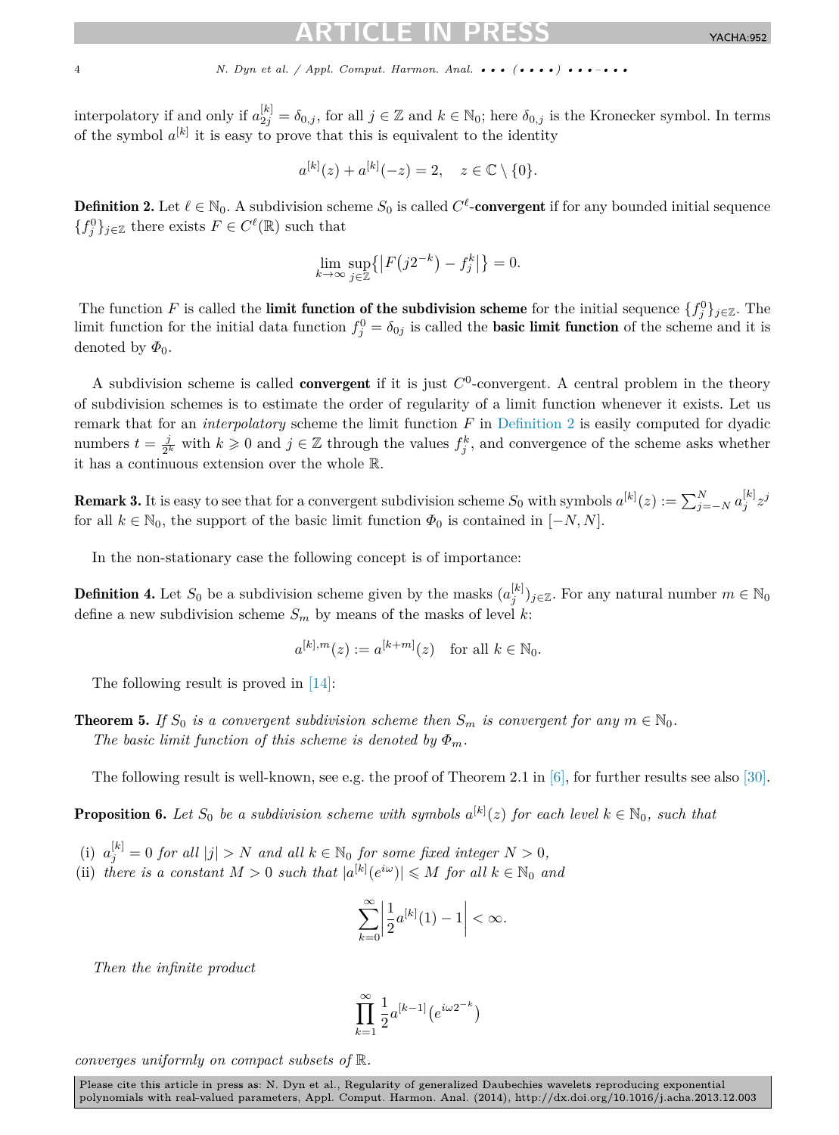<span id="page-3-0"></span>

interpolatory if and only if  $a_{2j}^{[k]} = \delta_{0,j}$ , for all  $j \in \mathbb{Z}$  and  $k \in \mathbb{N}_0$ ; here  $\delta_{0,j}$  is the Kronecker symbol. In terms of the symbol  $a^{[k]}$  it is easy to prove that this is equivalent to the identity

$$
a^{[k]}(z) + a^{[k]}(-z) = 2, \quad z \in \mathbb{C} \setminus \{0\}.
$$

**Definition 2.** Let  $\ell \in \mathbb{N}_0$ . A subdivision scheme  $S_0$  is called  $C^{\ell}$ -**convergent** if for any bounded initial sequence  ${f_j^0}_{j\in\mathbb{Z}}$  there exists  $F \in C^{\ell}(\mathbb{R})$  such that

$$
\lim_{k \to \infty} \sup_{j \in \mathbb{Z}} \left\{ \left| F(j2^{-k}) - f_j^k \right| \right\} = 0.
$$

The function *F* is called the **limit function of the subdivision scheme** for the initial sequence  $\{f_j^0\}_{j\in\mathbb{Z}}$ . The limit function for the initial data function  $f_j^0 = \delta_{0j}$  is called the **basic limit function** of the scheme and it is denoted by  $\Phi_0$ .

A subdivision scheme is called **convergent** if it is just  $C<sup>0</sup>$ -convergent. A central problem in the theory of subdivision schemes is to estimate the order of regularity of a limit function whenever it exists. Let us remark that for an *interpolatory* scheme the limit function *F* in Definition 2 is easily computed for dyadic numbers  $t = \frac{j}{2^k}$  with  $k \geq 0$  and  $j \in \mathbb{Z}$  through the values  $f_j^k$ , and convergence of the scheme asks whether it has a continuous extension over the whole R.

**Remark 3.** It is easy to see that for a convergent subdivision scheme  $S_0$  with symbols  $a^{[k]}(z) := \sum_{j=-N}^{N} a_j^{[k]} z^j$ for all  $k \in \mathbb{N}_0$ , the support of the basic limit function  $\Phi_0$  is contained in  $[-N, N]$ .

In the non-stationary case the following concept is of importance:

**Definition 4.** Let  $S_0$  be a subdivision scheme given by the masks  $(a_j^{[k]})_{j\in\mathbb{Z}}$ . For any natural number  $m \in \mathbb{N}_0$ define a new subdivision scheme  $S_m$  by means of the masks of level  $k$ :

$$
a^{[k],m}(z) := a^{[k+m]}(z) \quad \text{for all } k \in \mathbb{N}_0.
$$

The following result is proved in [\[14\]:](#page-18-0)

**Theorem 5.** *If*  $S_0$  *is a convergent subdivision scheme then*  $S_m$  *is convergent for any*  $m \in \mathbb{N}_0$ *. The basic limit function of this scheme is denoted by*  $\Phi_m$ .

The following result is well-known, see e.g. the proof of Theorem 2.1 in [\[6\],](#page-17-0) for further results see also [\[30\].](#page-18-0)

**Proposition 6.** Let  $S_0$  be a subdivision scheme with symbols  $a^{[k]}(z)$  for each level  $k \in \mathbb{N}_0$ , such that

- (i)  $a_j^{[k]} = 0$  *for all*  $|j| > N$  *and all*  $k \in \mathbb{N}_0$  *for some fixed integer*  $N > 0$ *,*
- (ii) *there is a constant*  $M > 0$  *such that*  $|a^{[k]}(e^{i\omega})| \leq M$  *for all*  $k \in \mathbb{N}_0$  *and*

$$
\sum_{k=0}^{\infty} \left| \frac{1}{2} a^{[k]}(1) - 1 \right| < \infty.
$$

*Then the infinite product*

$$
\prod_{k=1}^{\infty} \frac{1}{2} a^{[k-1]} \big( e^{i \omega 2^{-k}} \big)
$$

*converges uniformly on compact subsets of* R*.*

Please cite this article in press as: N. Dyn et al., Regularity of generalized Daubechies wavelets reproducing exponential polynomials with real-valued parameters, Appl. Comput. Harmon. Anal. (2014), http://dx.doi.org/10.1016/j.acha.2013.12.003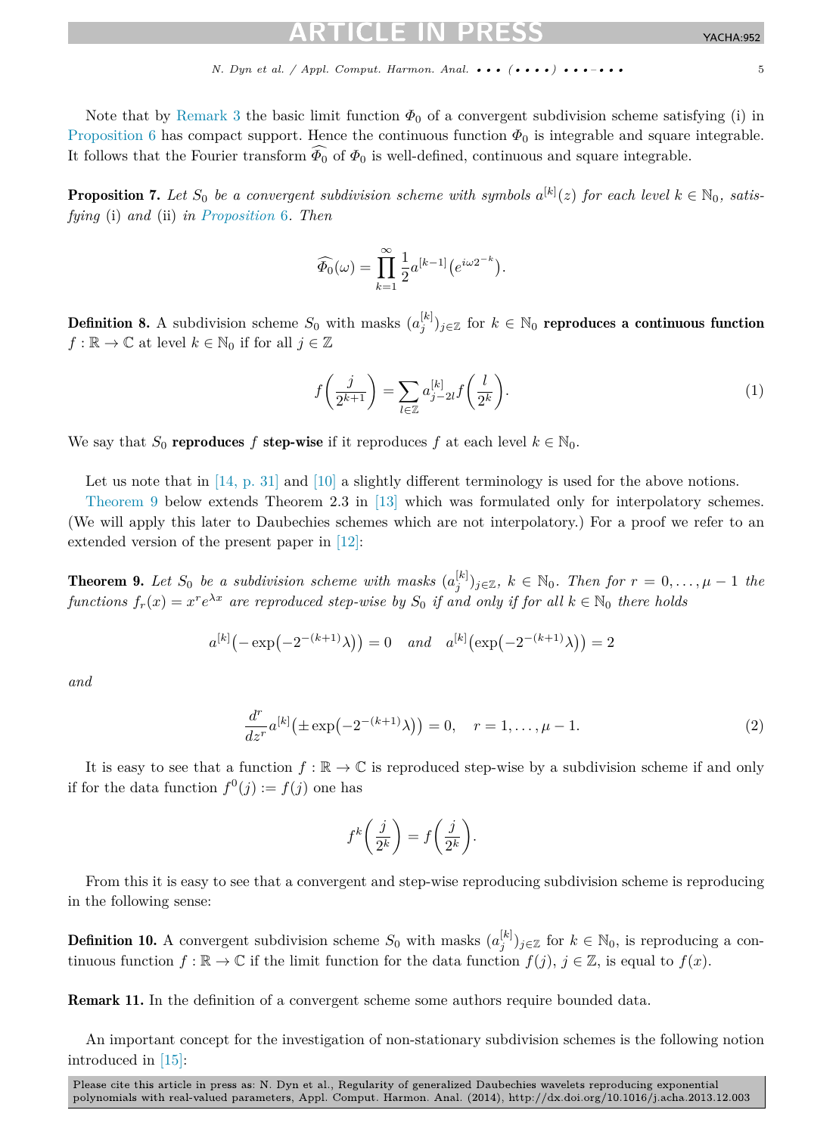<span id="page-4-0"></span>Note that by [Remark 3](#page-3-0) the basic limit function  $\Phi_0$  of a convergent subdivision scheme satisfying (i) in [Proposition 6](#page-3-0) has compact support. Hence the continuous function  $\Phi_0$  is integrable and square integrable. It follows that the Fourier transform  $\Phi_0$  of  $\Phi_0$  is well-defined, continuous and square integrable.

**Proposition 7.** Let  $S_0$  be a convergent subdivision scheme with symbols  $a^{[k]}(z)$  for each level  $k \in \mathbb{N}_0$ , satis*fying* (i) *and* (ii) *in [Proposition](#page-3-0)* 6*. Then*

$$
\widehat{\Phi_0}(\omega) = \prod_{k=1}^{\infty} \frac{1}{2} a^{[k-1]} \left( e^{i \omega 2^{-k}} \right).
$$

Definition 8. A subdivision scheme  $S_0$  with masks  $(a_j^{[k]})_{j\in\mathbb{Z}}$  for  $k\in\mathbb{N}_0$  reproduces a continuous function  $f: \mathbb{R} \to \mathbb{C}$  at level  $k \in \mathbb{N}_0$  if for all  $j \in \mathbb{Z}$ 

$$
f\left(\frac{j}{2^{k+1}}\right) = \sum_{l \in \mathbb{Z}} a_{j-2l}^{[k]} f\left(\frac{l}{2^k}\right).
$$
 (1)

We say that  $S_0$  **reproduces**  $f$  **step-wise** if it reproduces  $f$  at each level  $k \in \mathbb{N}_0$ .

Let us note that in [\[14, p.](#page-18-0) 31] and [\[10\]](#page-17-0) a slightly different terminology is used for the above notions.

Theorem 9 below extends Theorem 2.3 in [\[13\]](#page-18-0) which was formulated only for interpolatory schemes. (We will apply this later to Daubechies schemes which are not interpolatory.) For a proof we refer to an extended version of the present paper in [\[12\]:](#page-18-0)

**Theorem 9.** Let  $S_0$  be a subdivision scheme with masks  $(a_j^{[k]})_{j\in\mathbb{Z}}$ ,  $k \in \mathbb{N}_0$ . Then for  $r = 0, \ldots, \mu - 1$  the *functions*  $f_r(x) = x^r e^{\lambda x}$  *are reproduced step-wise by*  $S_0$  *if and only if for all*  $k \in \mathbb{N}_0$  *there holds* 

$$
a^{[k]}(-\exp(-2^{-(k+1)}\lambda)) = 0
$$
 and  $a^{[k]}(\exp(-2^{-(k+1)}\lambda)) = 2$ 

*and*

$$
\frac{d^r}{dz^r} a^{[k]} \big( \pm \exp\left(-2^{-(k+1)}\lambda\right) \big) = 0, \quad r = 1, \dots, \mu - 1. \tag{2}
$$

It is easy to see that a function  $f : \mathbb{R} \to \mathbb{C}$  is reproduced step-wise by a subdivision scheme if and only if for the data function  $f^{0}(j) := f(j)$  one has

$$
f^k\bigg(\frac{j}{2^k}\bigg) = f\bigg(\frac{j}{2^k}\bigg).
$$

From this it is easy to see that a convergent and step-wise reproducing subdivision scheme is reproducing in the following sense:

**Definition 10.** A convergent subdivision scheme  $S_0$  with masks  $(a_j^{[k]})_{j\in\mathbb{Z}}$  for  $k \in \mathbb{N}_0$ , is reproducing a continuous function  $f: \mathbb{R} \to \mathbb{C}$  if the limit function for the data function  $f(j), j \in \mathbb{Z}$ , is equal to  $f(x)$ .

Remark 11. In the definition of a convergent scheme some authors require bounded data.

An important concept for the investigation of non-stationary subdivision schemes is the following notion introduced in [\[15\]:](#page-18-0)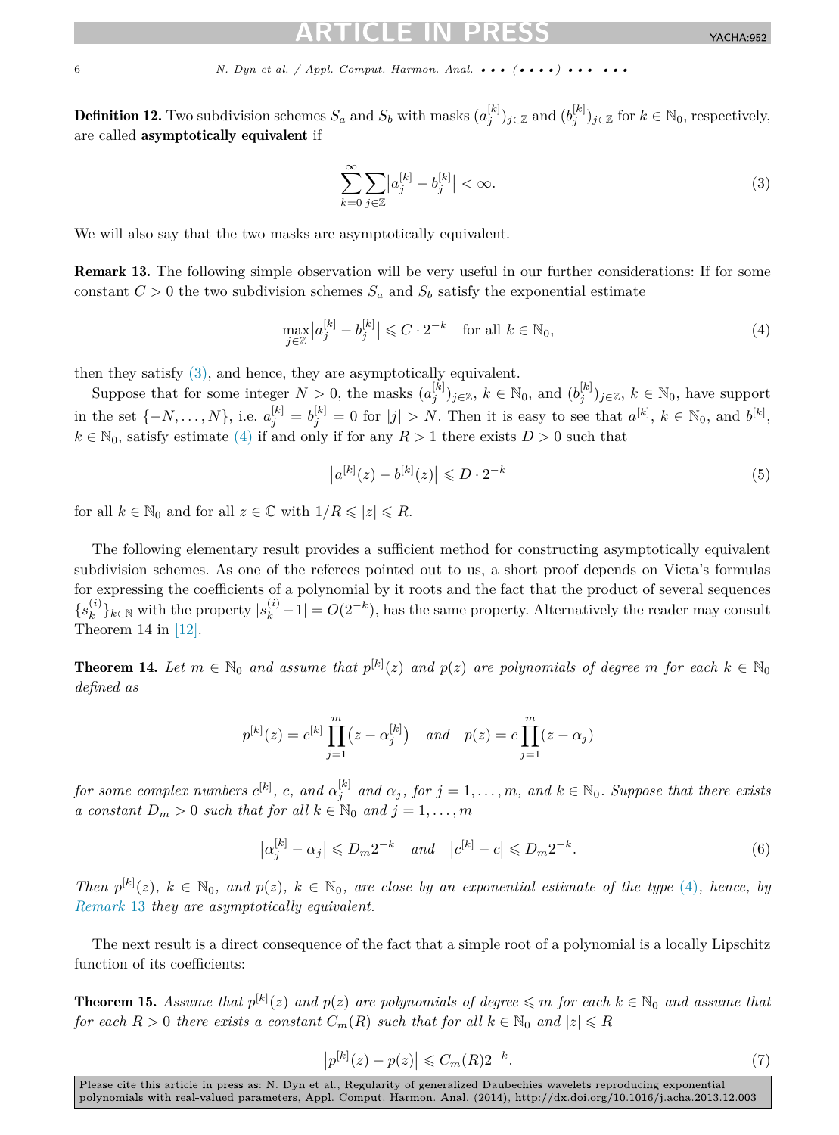<span id="page-5-0"></span>**Definition 12.** Two subdivision schemes  $S_a$  and  $S_b$  with masks  $(a_j^{[k]})_{j \in \mathbb{Z}}$  and  $(b_j^{[k]})_{j \in \mathbb{Z}}$  for  $k \in \mathbb{N}_0$ , respectively, are called asymptotically equivalent if

$$
\sum_{k=0}^{\infty} \sum_{j \in \mathbb{Z}} |a_j^{[k]} - b_j^{[k]}| < \infty. \tag{3}
$$

We will also say that the two masks are asymptotically equivalent.

Remark 13. The following simple observation will be very useful in our further considerations: If for some constant  $C > 0$  the two subdivision schemes  $S_a$  and  $S_b$  satisfy the exponential estimate

$$
\max_{j \in \mathbb{Z}} \left| a_j^{[k]} - b_j^{[k]} \right| \leqslant C \cdot 2^{-k} \quad \text{for all } k \in \mathbb{N}_0,
$$
\n
$$
\tag{4}
$$

then they satisfy (3), and hence, they are asymptotically equivalent.

Suppose that for some integer  $N > 0$ , the masks  $(a_j^{[k]})_{j \in \mathbb{Z}}$ ,  $k \in \mathbb{N}_0$ , and  $(b_j^{[k]})_{j \in \mathbb{Z}}$ ,  $k \in \mathbb{N}_0$ , have support in the set  $\{-N,\ldots,N\}$ , i.e.  $a_j^{[k]} = b_j^{[k]} = 0$  for  $|j| > N$ . Then it is easy to see that  $a^{[k]}$ ,  $k \in \mathbb{N}_0$ , and  $b^{[k]}$ ,  $k \in \mathbb{N}_0$ , satisfy estimate (4) if and only if for any  $R > 1$  there exists  $D > 0$  such that

$$
|a^{[k]}(z) - b^{[k]}(z)| \le D \cdot 2^{-k}
$$
 (5)

for all  $k \in \mathbb{N}_0$  and for all  $z \in \mathbb{C}$  with  $1/R \leqslant |z| \leqslant R$ .

The following elementary result provides a sufficient method for constructing asymptotically equivalent subdivision schemes. As one of the referees pointed out to us, a short proof depends on Vieta's formulas for expressing the coefficients of a polynomial by it roots and the fact that the product of several sequences  ${s<sub>k</sub><sup>(i)</sup>}_{k \in \mathbb{N}}$  with the property  $|s<sub>k</sub><sup>(i)</sup> - 1| = O(2<sup>-k</sup>)$ , has the same property. Alternatively the reader may consult Theorem 14 in [\[12\].](#page-18-0)

**Theorem 14.** Let  $m \in \mathbb{N}_0$  and assume that  $p^{[k]}(z)$  and  $p(z)$  are polynomials of degree  $m$  for each  $k \in \mathbb{N}_0$ *defined as*

$$
p^{[k]}(z) = c^{[k]} \prod_{j=1}^{m} (z - \alpha_j^{[k]})
$$
 and  $p(z) = c \prod_{j=1}^{m} (z - \alpha_j)$ 

for some complex numbers  $c^{[k]}$ , c, and  $\alpha_j^{[k]}$  and  $\alpha_j$ , for  $j = 1, ..., m$ , and  $k \in \mathbb{N}_0$ . Suppose that there exists *a constant*  $D_m > 0$  *such that for all*  $k \in \mathbb{N}_0$  *and*  $j = 1, \ldots, m$ 

$$
\left|\alpha_j^{[k]} - \alpha_j\right| \leqslant D_m 2^{-k} \quad \text{and} \quad \left|c^{[k]} - c\right| \leqslant D_m 2^{-k}.\tag{6}
$$

*Then*  $p^{[k]}(z)$ ,  $k \in \mathbb{N}_0$ , and  $p(z)$ ,  $k \in \mathbb{N}_0$ , are close by an exponential estimate of the type (4), hence, by *Remark* 13 *they are asymptotically equivalent.*

The next result is a direct consequence of the fact that a simple root of a polynomial is a locally Lipschitz function of its coefficients:

**Theorem 15.** Assume that  $p^{[k]}(z)$  and  $p(z)$  are polynomials of degree  $\leq m$  for each  $k \in \mathbb{N}_0$  and assume that *for each*  $R > 0$  *there exists a constant*  $C_m(R)$  *such that for all*  $k \in \mathbb{N}_0$  *and*  $|z| \le R$ 

$$
|p^{[k]}(z) - p(z)| \leq C_m(R)2^{-k}.
$$
 (7)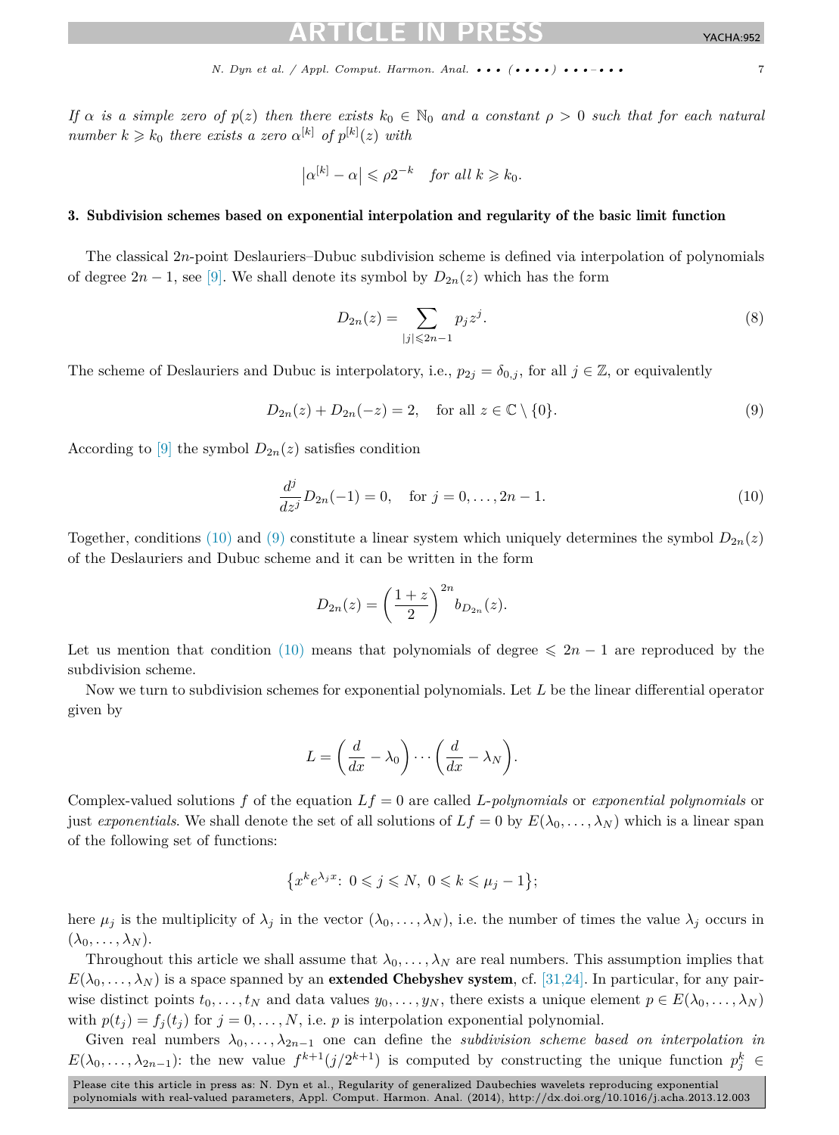<span id="page-6-0"></span>*If*  $\alpha$  *is a simple zero of*  $p(z)$  *then there exists*  $k_0 \in \mathbb{N}_0$  *and a constant*  $\rho > 0$  *such that for each natural number*  $k \ge k_0$  *there exists a zero*  $\alpha^{[k]}$  *of*  $p^{[k]}(z)$  *with* 

$$
\left|\alpha^{[k]}-\alpha\right| \leqslant \rho 2^{-k} \quad \text{for all } k \geqslant k_0.
$$

# 3. Subdivision schemes based on exponential interpolation and regularity of the basic limit function

The classical 2*n*-point Deslauriers–Dubuc subdivision scheme is defined via interpolation of polynomials of degree  $2n - 1$ , see [\[9\].](#page-17-0) We shall denote its symbol by  $D_{2n}(z)$  which has the form

$$
D_{2n}(z) = \sum_{|j| \le 2n-1} p_j z^j.
$$
 (8)

The scheme of Deslauriers and Dubuc is interpolatory, i.e.,  $p_{2j} = \delta_{0,j}$ , for all  $j \in \mathbb{Z}$ , or equivalently

$$
D_{2n}(z) + D_{2n}(-z) = 2, \quad \text{for all } z \in \mathbb{C} \setminus \{0\}.
$$
 (9)

According to [\[9\]](#page-17-0) the symbol  $D_{2n}(z)$  satisfies condition

$$
\frac{d^j}{dz^j}D_{2n}(-1) = 0, \quad \text{for } j = 0, \dots, 2n - 1.
$$
 (10)

Together, conditions (10) and (9) constitute a linear system which uniquely determines the symbol  $D_{2n}(z)$ of the Deslauriers and Dubuc scheme and it can be written in the form

$$
D_{2n}(z) = \left(\frac{1+z}{2}\right)^{2n} b_{D_{2n}}(z).
$$

Let us mention that condition (10) means that polynomials of degree  $\leq 2n - 1$  are reproduced by the subdivision scheme.

Now we turn to subdivision schemes for exponential polynomials. Let *L* be the linear differential operator given by

$$
L = \left(\frac{d}{dx} - \lambda_0\right) \cdots \left(\frac{d}{dx} - \lambda_N\right).
$$

Complex-valued solutions *f* of the equation *Lf* = 0 are called *L*-*polynomials* or *exponential polynomials* or just *exponentials*. We shall denote the set of all solutions of  $Lf = 0$  by  $E(\lambda_0, \dots, \lambda_N)$  which is a linear span of the following set of functions:

$$
\left\{x^k e^{\lambda_j x} : 0 \leqslant j \leqslant N, 0 \leqslant k \leqslant \mu_j - 1\right\};
$$

here  $\mu_j$  is the multiplicity of  $\lambda_j$  in the vector  $(\lambda_0, \ldots, \lambda_N)$ , i.e. the number of times the value  $\lambda_j$  occurs in  $(\lambda_0, \ldots, \lambda_N)$ .

Throughout this article we shall assume that  $\lambda_0, \ldots, \lambda_N$  are real numbers. This assumption implies that  $E(\lambda_0,\ldots,\lambda_N)$  is a space spanned by an **extended Chebyshev system**, cf. [\[31,24\].](#page-18-0) In particular, for any pairwise distinct points  $t_0, \ldots, t_N$  and data values  $y_0, \ldots, y_N$ , there exists a unique element  $p \in E(\lambda_0, \ldots, \lambda_N)$ with  $p(t_i) = f_i(t_j)$  for  $j = 0, \ldots, N$ , i.e. *p* is interpolation exponential polynomial.

Given real numbers  $\lambda_0, \ldots, \lambda_{2n-1}$  one can define the *subdivision scheme based on interpolation in*  $E(\lambda_0,\ldots,\lambda_{2n-1})$ : the new value  $f^{k+1}(j/2^{k+1})$  is computed by constructing the unique function  $p_j^k$ *j* ∈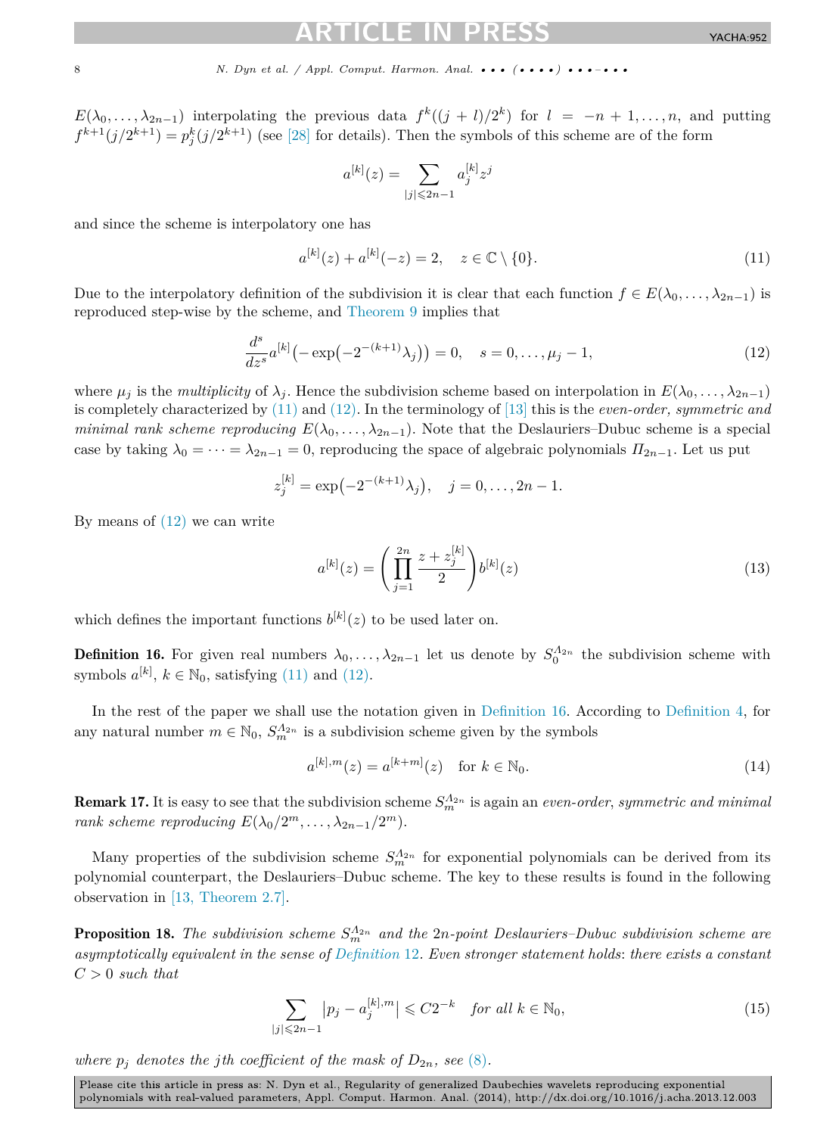<span id="page-7-0"></span>*E*( $\lambda_0, \ldots, \lambda_{2n-1}$ ) interpolating the previous data  $f^k((j + l)/2^k)$  for  $l = -n + 1, \ldots, n$ , and putting  $f^{k+1}(j/2^{k+1}) = p_j^k(j/2^{k+1})$  (see [\[28\]](#page-18-0) for details). Then the symbols of this scheme are of the form

$$
a^{[k]}(z) = \sum_{|j| \le 2n-1} a_j^{[k]} z^j
$$

and since the scheme is interpolatory one has

$$
a^{[k]}(z) + a^{[k]}(-z) = 2, \quad z \in \mathbb{C} \setminus \{0\}.
$$
 (11)

Due to the interpolatory definition of the subdivision it is clear that each function  $f \in E(\lambda_0, \ldots, \lambda_{2n-1})$  is reproduced step-wise by the scheme, and [Theorem 9](#page-4-0) implies that

$$
\frac{d^s}{dz^s}a^{[k]}(-\exp(-2^{-(k+1)}\lambda_j)) = 0, \quad s = 0, \dots, \mu_j - 1,\tag{12}
$$

where  $\mu_j$  is the *multiplicity* of  $\lambda_j$ . Hence the subdivision scheme based on interpolation in  $E(\lambda_0, \ldots, \lambda_{2n-1})$ is completely characterized by (11) and (12). In the terminology of [\[13\]](#page-18-0) this is the *even-order, symmetric and minimal rank scheme reproducing*  $E(\lambda_0, \ldots, \lambda_{2n-1})$ . Note that the Deslauriers–Dubuc scheme is a special case by taking  $\lambda_0 = \cdots = \lambda_{2n-1} = 0$ , reproducing the space of algebraic polynomials  $\Pi_{2n-1}$ . Let us put

$$
z_j^{[k]} = \exp(-2^{-(k+1)}\lambda_j), \quad j = 0, \dots, 2n - 1.
$$

By means of  $(12)$  we can write

$$
a^{[k]}(z) = \left(\prod_{j=1}^{2n} \frac{z + z_j^{[k]}}{2}\right) b^{[k]}(z)
$$
\n(13)

which defines the important functions  $b^{[k]}(z)$  to be used later on.

**Definition 16.** For given real numbers  $\lambda_0, \ldots, \lambda_{2n-1}$  let us denote by  $S_0^{\Lambda_{2n}}$  the subdivision scheme with symbols  $a^{[k]}$ ,  $k \in \mathbb{N}_0$ , satisfying (11) and (12).

In the rest of the paper we shall use the notation given in Definition 16. According to [Definition 4,](#page-3-0) for any natural number  $m \in \mathbb{N}_0$ ,  $S_{m}^{\Lambda_{2n}}$  is a subdivision scheme given by the symbols

$$
a^{[k],m}(z) = a^{[k+m]}(z) \quad \text{for } k \in \mathbb{N}_0.
$$
\n(14)

**Remark 17.** It is easy to see that the subdivision scheme  $S_m^{A_{2n}}$  is again an *even-order*, *symmetric and minimal rank scheme reproducing*  $E(\lambda_0/2^m, \ldots, \lambda_{2n-1}/2^m)$ .

Many properties of the subdivision scheme  $S_m^{\Lambda_{2n}}$  for exponential polynomials can be derived from its polynomial counterpart, the Deslauriers–Dubuc scheme. The key to these results is found in the following observation in [\[13, Theorem 2.7\].](#page-18-0)

**Proposition 18.** The subdivision scheme  $S_m^{\Lambda_{2n}}$  and the 2*n*-point Deslauriers–Dubuc subdivision scheme are *asymptotically equivalent in the sense of [Definition](#page-5-0)* 12*. Even stronger statement holds*: *there exists a constant C >* 0 *such that*

$$
\sum_{|j|\leqslant 2n-1} |p_j - a_j^{[k],m}| \leqslant C2^{-k} \quad \text{for all } k \in \mathbb{N}_0,
$$
\n
$$
(15)
$$

*where*  $p_j$  *denotes the jth coefficient of the mask of*  $D_{2n}$ *, see* [\(8\)](#page-6-0)*.*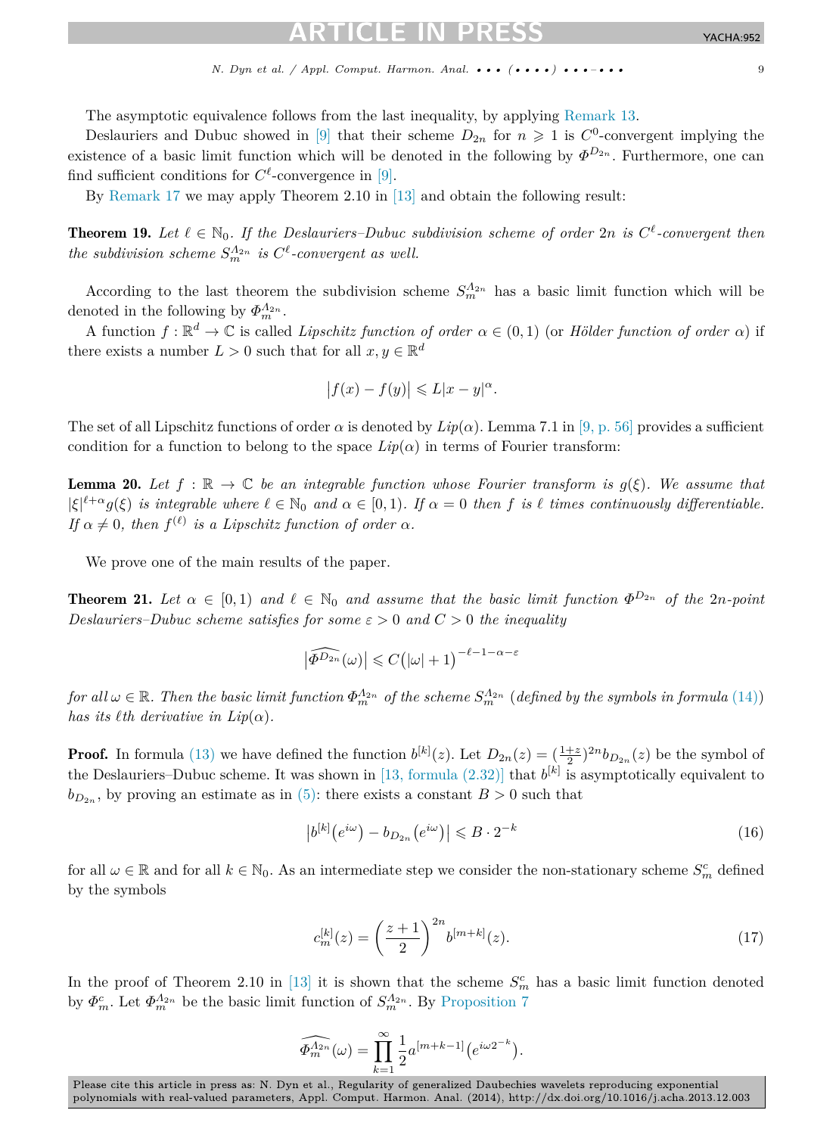<span id="page-8-0"></span>The asymptotic equivalence follows from the last inequality, by applying [Remark 13.](#page-5-0)

Deslauriers and Dubuc showed in [\[9\]](#page-17-0) that their scheme  $D_{2n}$  for  $n \geq 1$  is  $C^0$ -convergent implying the existence of a basic limit function which will be denoted in the following by  $\Phi^{D_{2n}}$ . Furthermore, one can find sufficient conditions for  $C^{\ell}$ -convergence in [\[9\].](#page-17-0)

By [Remark](#page-7-0) 17 we may apply Theorem 2.10 in [\[13\]](#page-18-0) and obtain the following result:

**Theorem 19.** Let  $\ell \in \mathbb{N}_0$ . If the Deslauriers–Dubuc subdivision scheme of order 2n is  $C^{\ell}$ -convergent then *the subdivision scheme*  $S_m^{\Lambda_{2n}}$  *is*  $C^{\ell}$ -convergent as well.

According to the last theorem the subdivision scheme  $S_m^{\Lambda_{2n}}$  has a basic limit function which will be denoted in the following by  $\Phi_m^{\Lambda_{2n}}$ .

A function  $f : \mathbb{R}^d \to \mathbb{C}$  is called *Lipschitz function of order*  $\alpha \in (0,1)$  (or *Hölder function of order*  $\alpha$ ) if there exists a number  $L > 0$  such that for all  $x, y \in \mathbb{R}^d$ 

$$
\left|f(x) - f(y)\right| \leqslant L|x - y|^{\alpha}.
$$

The set of all Lipschitz functions of order  $\alpha$  is denoted by  $Lip(\alpha)$ . Lemma 7.1 in [\[9, p. 56\]](#page-17-0) provides a sufficient condition for a function to belong to the space  $Lip(\alpha)$  in terms of Fourier transform:

**Lemma 20.** Let  $f : \mathbb{R} \to \mathbb{C}$  be an integrable function whose Fourier transform is  $g(\xi)$ . We assume that  $|\xi|^{l+\alpha} g(\xi)$  *is integrable where*  $l \in \mathbb{N}_0$  *and*  $\alpha \in [0,1)$ *. If*  $\alpha = 0$  *then f is*  $l$  *times continuously differentiable. If*  $\alpha \neq 0$ *, then*  $f^{(\ell)}$  *is a Lipschitz function of order*  $\alpha$ *.* 

We prove one of the main results of the paper.

**Theorem 21.** Let  $\alpha \in [0,1)$  and  $\ell \in \mathbb{N}_0$  and assume that the basic limit function  $\Phi^{D_{2n}}$  of the 2*n*-point *Deslauriers–Dubuc scheme satisfies for some*  $\varepsilon > 0$  *and*  $C > 0$  *the inequality* 

$$
\left|\widehat{\Phi^{D_{2n}}}(\omega)\right|\leqslant C\big(|\omega|+1\big)^{-\ell-1-\alpha-\varepsilon}
$$

*for all*  $\omega \in \mathbb{R}$ . Then the basic limit function  $\Phi_m^{\Lambda_{2n}}$  of the scheme  $S_m^{\Lambda_{2n}}$  (defined by the symbols in formula [\(14\)\)](#page-7-0) *has its*  $\ell$ *th derivative in Lip*( $\alpha$ ).

**Proof.** In formula [\(13\)](#page-7-0) we have defined the function  $b^{[k]}(z)$ . Let  $D_{2n}(z) = (\frac{1+z}{2})^{2n} b_{D_{2n}}(z)$  be the symbol of the Deslauriers–Dubuc scheme. It was shown in [13, formula  $(2.32)$ ] that  $b^{[k]}$  is asymptotically equivalent to  $b_{D_{2n}}$ , by proving an estimate as in [\(5\):](#page-5-0) there exists a constant  $B > 0$  such that

$$
\left| b^{[k]} \left( e^{i\omega} \right) - b_{D_{2n}} \left( e^{i\omega} \right) \right| \leqslant B \cdot 2^{-k} \tag{16}
$$

for all  $\omega \in \mathbb{R}$  and for all  $k \in \mathbb{N}_0$ . As an intermediate step we consider the non-stationary scheme  $S_m^c$  defined by the symbols

$$
c_m^{[k]}(z) = \left(\frac{z+1}{2}\right)^{2n} b^{[m+k]}(z).
$$
\n(17)

In the proof of Theorem 2.10 in [\[13\]](#page-18-0) it is shown that the scheme  $S_m^c$  has a basic limit function denoted by  $\Phi_m^c$ . Let  $\Phi_m^{A_{2n}}$  be the basic limit function of  $S_m^{A_{2n}}$ . By [Proposition 7](#page-4-0)

$$
\widehat{\Phi_m^{\Lambda_{2n}}}(\omega) = \prod_{k=1}^{\infty} \frac{1}{2} a^{[m+k-1]} \big( e^{i \omega 2^{-k}} \big).
$$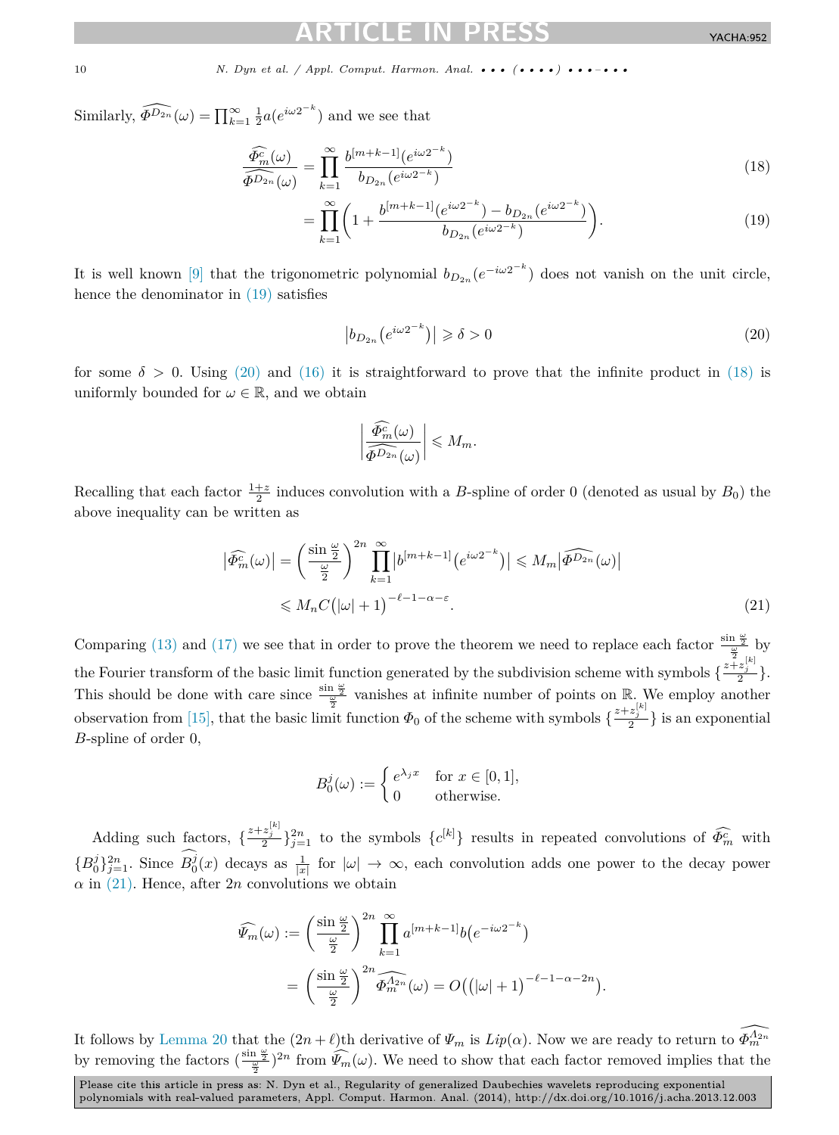Similarly,  $\widehat{\Phi^{D_{2n}}}(\omega) = \prod_{k=1}^{\infty} \frac{1}{2} a(e^{i\omega 2^{-k}})$  and we see that

$$
\frac{\widehat{\Phi_m^c}(\omega)}{\widehat{\Phi^{D_{2n}}}(\omega)} = \prod_{k=1}^{\infty} \frac{b^{[m+k-1]}(e^{i\omega 2^{-k}})}{b_{D_{2n}}(e^{i\omega 2^{-k}})}
$$
(18)

$$
= \prod_{k=1}^{\infty} \left( 1 + \frac{b^{[m+k-1]}(e^{i\omega 2^{-k}}) - b_{D_{2n}}(e^{i\omega 2^{-k}})}{b_{D_{2n}}(e^{i\omega 2^{-k}})} \right).
$$
 (19)

It is well known [\[9\]](#page-17-0) that the trigonometric polynomial  $b_{D_{2n}}(e^{-i\omega 2^{-k}})$  does not vanish on the unit circle, hence the denominator in (19) satisfies

$$
\left|b_{D_{2n}}\left(e^{i\omega 2^{-k}}\right)\right| \geqslant \delta > 0\tag{20}
$$

*.*

for some  $\delta > 0$ . Using (20) and [\(16\)](#page-8-0) it is straightforward to prove that the infinite product in (18) is uniformly bounded for  $\omega \in \mathbb{R}$ , and we obtain

$$
\left|\frac{\widehat{\Phi}_m^c(\omega)}{\widehat{\Phi^{D_{2n}}}(\omega)}\right| \leqslant M_m.
$$

Recalling that each factor  $\frac{1+z}{2}$  induces convolution with a *B*-spline of order 0 (denoted as usual by *B*<sub>0</sub>) the above inequality can be written as

$$
\left| \widehat{\Phi_m^c}(\omega) \right| = \left( \frac{\sin \frac{\omega}{2}}{\frac{\omega}{2}} \right)^{2n} \prod_{k=1}^{\infty} \left| b^{[m+k-1]} \left( e^{i\omega 2^{-k}} \right) \right| \le M_m \left| \widehat{\Phi^{D_{2n}}}(\omega) \right|
$$
  

$$
\le M_n C \left( |\omega| + 1 \right)^{-\ell - 1 - \alpha - \varepsilon}.
$$
 (21)

Comparing [\(13\)](#page-7-0) and [\(17\)](#page-8-0) we see that in order to prove the theorem we need to replace each factor  $\frac{\sin \frac{\omega}{2}}{\omega}$  by the Fourier transform of the basic limit function generated by the subdivision scheme with symbols  $\{\frac{z+z^{[k]}_j}{2}\}$ . This should be done with care since  $\frac{\sin \frac{\omega}{2}}{\omega}$  vanishes at infinite number of points on R. We employ another observation from [\[15\],](#page-18-0) that the basic limit function  $\Phi_0$  of the scheme with symbols  $\{\frac{z+z_j^{[k]}}{2}\}$  is an exponential *B*-spline of order 0,

$$
B_0^j(\omega) := \begin{cases} e^{\lambda_j x} & \text{for } x \in [0,1], \\ 0 & \text{otherwise.} \end{cases}
$$

Adding such factors,  $\{\frac{z+z_j^{[k]}}{2}\}_{j=1}^{2n}$  to the symbols  $\{c^{[k]}\}\$ results in repeated convolutions of  $\widehat{\Phi}_m^c$  with  ${B_0^j}_{j=1}^{2n}$ . Since  $B_0^j(x)$  decays as  $\frac{1}{|x|}$  for  $|\omega| \to \infty$ , each convolution adds one power to the decay power  $\alpha$  in (21). Hence, after 2*n* convolutions we obtain

$$
\widehat{\Psi_m}(\omega) := \left(\frac{\sin\frac{\omega}{2}}{\frac{\omega}{2}}\right)^{2n} \prod_{k=1}^{\infty} a^{[m+k-1]} b(e^{-i\omega 2^{-k}})
$$

$$
= \left(\frac{\sin\frac{\omega}{2}}{\frac{\omega}{2}}\right)^{2n} \widehat{\Phi_m^{A_{2n}}}(\omega) = O((|\omega|+1)^{-\ell-1-\alpha-2n})
$$

It follows by [Lemma 20](#page-8-0) that the  $(2n + \ell)$ th derivative of  $\Psi_m$  is  $Lip(\alpha)$ . Now we are ready to return to  $\widehat{\Phi_m^{A_{2n}}}$ by removing the factors  $(\frac{\sin \frac{\omega}{2}}{2})^{2n}$  from  $\widehat{\Psi}_m(\omega)$ . We need to show that each factor removed implies that the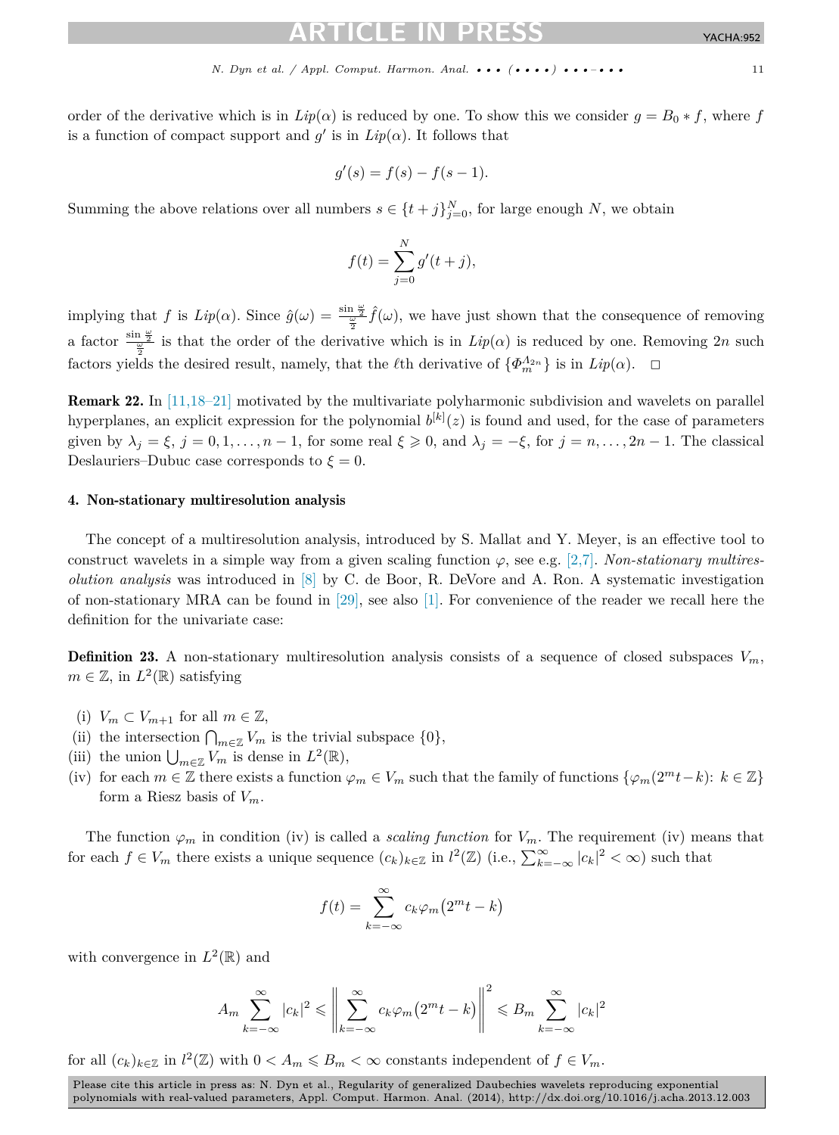<span id="page-10-0"></span>order of the derivative which is in  $Lip(\alpha)$  is reduced by one. To show this we consider  $g = B_0 * f$ , where f is a function of compact support and  $g'$  is in  $Lip(\alpha)$ . It follows that

$$
g'(s) = f(s) - f(s - 1).
$$

Summing the above relations over all numbers  $s \in \{t+j\}_{j=0}^N$ , for large enough *N*, we obtain

$$
f(t) = \sum_{j=0}^{N} g'(t+j),
$$

implying that *f* is  $Lip(\alpha)$ . Since  $\hat{g}(\omega) = \frac{\sin \frac{\omega}{2}}{\frac{\omega}{2}} \hat{f}(\omega)$ , we have just shown that the consequence of removing a factor  $\frac{\sin \frac{\omega}{2}}{\omega^2}$  is that the order of the derivative which is in  $Lip(\alpha)$  is reduced by one. Removing 2*n* such factors yields the desired result, namely, that the *l*<sup>th</sup> derivative of  $\{\Phi_m^{\Lambda_{2n}}\}$  is in  $Lip(\alpha)$ .  $\Box$ 

Remark 22. In [\[11,18–21\]](#page-18-0) motivated by the multivariate polyharmonic subdivision and wavelets on parallel hyperplanes, an explicit expression for the polynomial  $b^{[k]}(z)$  is found and used, for the case of parameters given by  $\lambda_i = \xi$ ,  $j = 0, 1, \ldots, n - 1$ , for some real  $\xi \geq 0$ , and  $\lambda_j = -\xi$ , for  $j = n, \ldots, 2n - 1$ . The classical Deslauriers–Dubuc case corresponds to  $\xi = 0$ .

## 4. Non-stationary multiresolution analysis

The concept of a multiresolution analysis, introduced by S. Mallat and Y. Meyer, is an effective tool to construct wavelets in a simple way from a given scaling function  $\varphi$ , see e.g. [\[2,7\].](#page-17-0) *Non-stationary multiresolution analysis* was introduced in [\[8\]](#page-17-0) by C. de Boor, R. DeVore and A. Ron. A systematic investigation of non-stationary MRA can be found in [\[29\],](#page-18-0) see also [\[1\].](#page-17-0) For convenience of the reader we recall here the definition for the univariate case:

**Definition 23.** A non-stationary multiresolution analysis consists of a sequence of closed subspaces  $V_m$ ,  $m \in \mathbb{Z}$ , in  $L^2(\mathbb{R})$  satisfying

- (i)  $V_m \subset V_{m+1}$  for all  $m \in \mathbb{Z}$ ,
- (ii) the intersection  $\bigcap_{m\in\mathbb{Z}}V_m$  is the trivial subspace  $\{0\},\$
- (iii) the union  $\bigcup_{m\in\mathbb{Z}}V_m$  is dense in  $L^2(\mathbb{R}),$
- (iv) for each  $m \in \mathbb{Z}$  there exists a function  $\varphi_m \in V_m$  such that the family of functions  $\{\varphi_m(2^m t k): k \in \mathbb{Z}\}\$ form a Riesz basis of *Vm*.

The function  $\varphi_m$  in condition (iv) is called a *scaling function* for  $V_m$ . The requirement (iv) means that for each  $f \in V_m$  there exists a unique sequence  $(c_k)_{k \in \mathbb{Z}}$  in  $l^2(\mathbb{Z})$  (i.e.,  $\sum_{k=-\infty}^{\infty} |c_k|^2 < \infty$ ) such that

$$
f(t) = \sum_{k=-\infty}^{\infty} c_k \varphi_m \left( 2^m t - k \right)
$$

with convergence in  $L^2(\mathbb{R})$  and

$$
A_m \sum_{k=-\infty}^{\infty} |c_k|^2 \leq \left\| \sum_{k=-\infty}^{\infty} c_k \varphi_m \left( 2^m t - k \right) \right\|^2 \leq B_m \sum_{k=-\infty}^{\infty} |c_k|^2
$$

for all  $(c_k)_{k \in \mathbb{Z}}$  in  $l^2(\mathbb{Z})$  with  $0 < A_m \leq B_m < \infty$  constants independent of  $f \in V_m$ .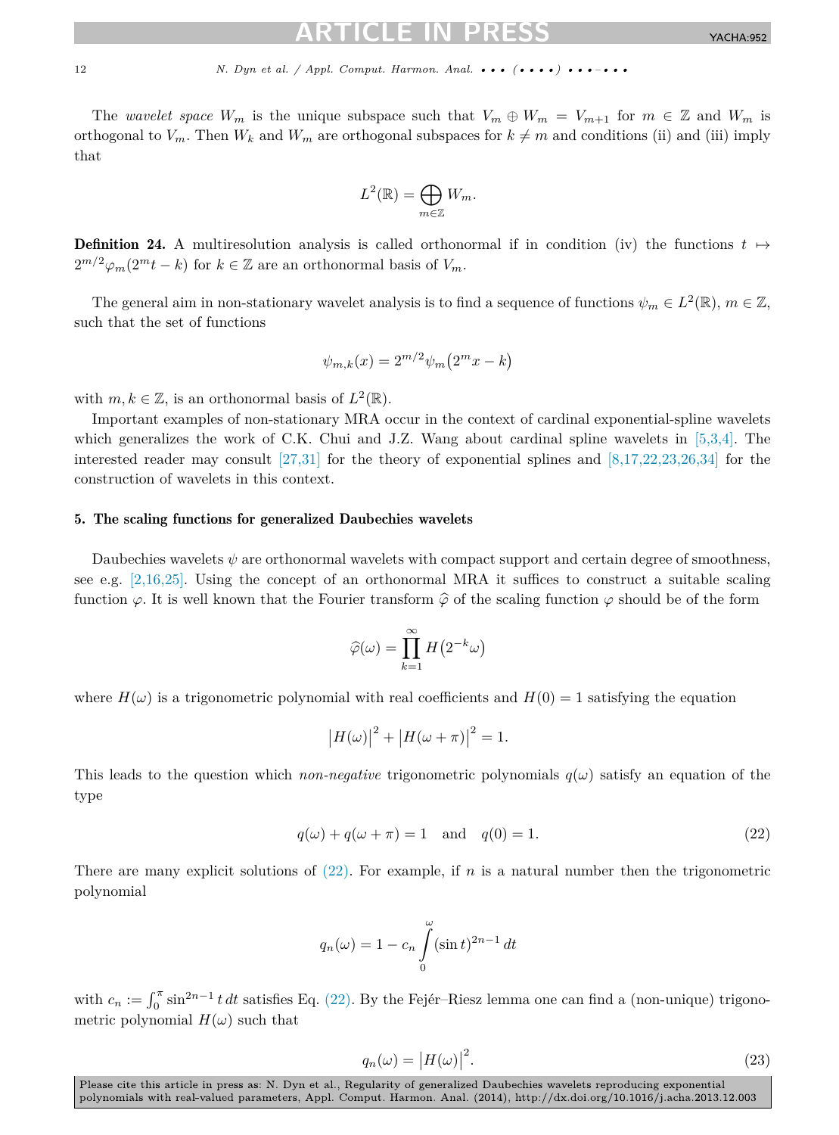<span id="page-11-0"></span>The *wavelet space*  $W_m$  is the unique subspace such that  $V_m \oplus W_m = V_{m+1}$  for  $m \in \mathbb{Z}$  and  $W_m$  is orthogonal to  $V_m$ . Then  $W_k$  and  $W_m$  are orthogonal subspaces for  $k \neq m$  and conditions (ii) and (iii) imply that

$$
L^2(\mathbb{R}) = \bigoplus_{m \in \mathbb{Z}} W_m.
$$

**Definition 24.** A multiresolution analysis is called orthonormal if in condition (iv) the functions  $t \mapsto$  $2^{m/2}\varphi_m(2^m t - k)$  for  $k \in \mathbb{Z}$  are an orthonormal basis of  $V_m$ .

The general aim in non-stationary wavelet analysis is to find a sequence of functions  $\psi_m \in L^2(\mathbb{R})$ ,  $m \in \mathbb{Z}$ , such that the set of functions

$$
\psi_{m,k}(x) = 2^{m/2} \psi_m \left( 2^m x - k \right)
$$

with  $m, k \in \mathbb{Z}$ , is an orthonormal basis of  $L^2(\mathbb{R})$ .

Important examples of non-stationary MRA occur in the context of cardinal exponential-spline wavelets which generalizes the work of C.K. Chui and J.Z. Wang about cardinal spline wavelets in [\[5,3,4\].](#page-17-0) The interested reader may consult  $[27,31]$  for the theory of exponential splines and  $[8,17,22,23,26,34]$  for the construction of wavelets in this context.

# 5. The scaling functions for generalized Daubechies wavelets

Daubechies wavelets  $\psi$  are orthonormal wavelets with compact support and certain degree of smoothness, see e.g. [\[2,16,25\].](#page-17-0) Using the concept of an orthonormal MRA it suffices to construct a suitable scaling function  $\varphi$ . It is well known that the Fourier transform  $\hat{\varphi}$  of the scaling function  $\varphi$  should be of the form

$$
\widehat{\varphi}(\omega) = \prod_{k=1}^{\infty} H\left(2^{-k}\omega\right)
$$

where  $H(\omega)$  is a trigonometric polynomial with real coefficients and  $H(0) = 1$  satisfying the equation

$$
|H(\omega)|^2 + |H(\omega + \pi)|^2 = 1.
$$

This leads to the question which *non-negative* trigonometric polynomials  $q(\omega)$  satisfy an equation of the type

$$
q(\omega) + q(\omega + \pi) = 1 \quad \text{and} \quad q(0) = 1. \tag{22}
$$

There are many explicit solutions of  $(22)$ . For example, if *n* is a natural number then the trigonometric polynomial

$$
q_n(\omega) = 1 - c_n \int_0^{\omega} (\sin t)^{2n-1} dt
$$

with  $c_n := \int_0^\pi \sin^{2n-1} t \, dt$  satisfies Eq. (22). By the Fejér–Riesz lemma one can find a (non-unique) trigonometric polynomial  $H(\omega)$  such that

$$
q_n(\omega) = |H(\omega)|^2.
$$
\n(23)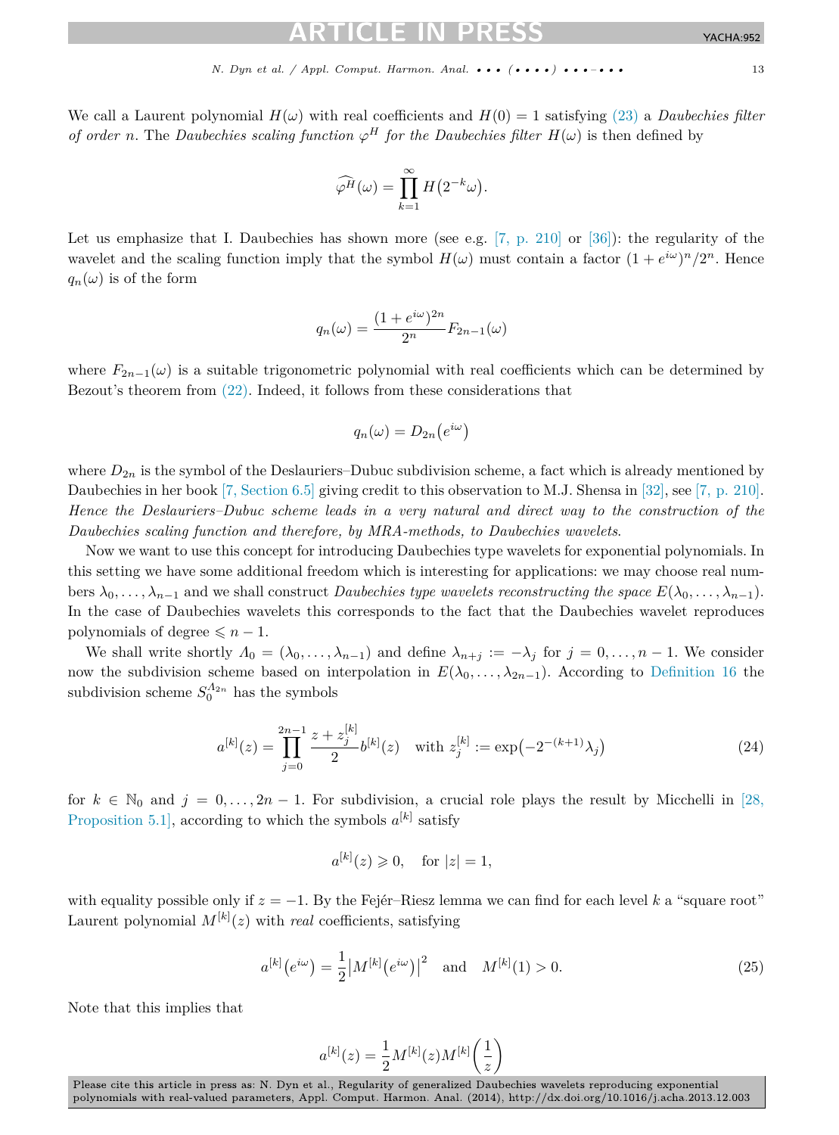<span id="page-12-0"></span>We call a Laurent polynomial  $H(\omega)$  with real coefficients and  $H(0) = 1$  satisfying [\(23\)](#page-11-0) a *Daubechies filter of order n*. The *Daubechies scaling function*  $\varphi^H$  *for the Daubechies filter*  $H(\omega)$  is then defined by

$$
\widehat{\varphi^H}(\omega) = \prod_{k=1}^{\infty} H(2^{-k}\omega).
$$

Let us emphasize that I. Daubechies has shown more (see e.g.  $(7, p. 210)$  or  $(36)$ ): the regularity of the wavelet and the scaling function imply that the symbol  $H(\omega)$  must contain a factor  $(1 + e^{i\omega})^n/2^n$ . Hence  $q_n(\omega)$  is of the form

$$
q_n(\omega) = \frac{(1 + e^{i\omega})^{2n}}{2^n} F_{2n-1}(\omega)
$$

where  $F_{2n-1}(\omega)$  is a suitable trigonometric polynomial with real coefficients which can be determined by Bezout's theorem from [\(22\).](#page-11-0) Indeed, it follows from these considerations that

$$
q_n(\omega) = D_{2n}(e^{i\omega})
$$

where  $D_{2n}$  is the symbol of the Deslauriers–Dubuc subdivision scheme, a fact which is already mentioned by Daubechies in her book [\[7, Section 6.5\]](#page-17-0) giving credit to this observation to M.J. Shensa in [\[32\],](#page-18-0) see [\[7, p. 210\].](#page-17-0) *Hence the Deslauriers–Dubuc scheme leads in a very natural and direct way to the construction of the Daubechies scaling function and therefore, by MRA-methods, to Daubechies wavelets*.

Now we want to use this concept for introducing Daubechies type wavelets for exponential polynomials. In this setting we have some additional freedom which is interesting for applications: we may choose real numbers  $\lambda_0, \ldots, \lambda_{n-1}$  and we shall construct *Daubechies type wavelets reconstructing the space*  $E(\lambda_0, \ldots, \lambda_{n-1})$ . In the case of Daubechies wavelets this corresponds to the fact that the Daubechies wavelet reproduces polynomials of degree  $\leq n - 1$ .

We shall write shortly  $\Lambda_0 = (\lambda_0, \ldots, \lambda_{n-1})$  and define  $\lambda_{n+j} := -\lambda_j$  for  $j = 0, \ldots, n-1$ . We consider now the subdivision scheme based on interpolation in  $E(\lambda_0, \ldots, \lambda_{2n-1})$ . According to [Definition 16](#page-7-0) the subdivision scheme  $S_0^{A_{2n}}$  has the symbols

$$
a^{[k]}(z) = \prod_{j=0}^{2n-1} \frac{z + z_j^{[k]}}{2} b^{[k]}(z) \quad \text{with } z_j^{[k]} := \exp(-2^{-(k+1)} \lambda_j)
$$
 (24)

for  $k \in \mathbb{N}_0$  and  $j = 0, \ldots, 2n - 1$ . For subdivision, a crucial role plays the result by Micchelli in [\[28,](#page-18-0) [Proposition 5.1\],](#page-18-0) according to which the symbols  $a^{[k]}$  satisfy

$$
a^{[k]}(z) \geq 0, \quad \text{for } |z| = 1,
$$

with equality possible only if *z* = −1. By the Fejér–Riesz lemma we can find for each level *k* a "square root" Laurent polynomial  $M^{[k]}(z)$  with *real* coefficients, satisfying

$$
a^{[k]}(e^{i\omega}) = \frac{1}{2} |M^{[k]}(e^{i\omega})|^2 \quad \text{and} \quad M^{[k]}(1) > 0. \tag{25}
$$

Note that this implies that

$$
a^{[k]}(z) = \frac{1}{2}M^{[k]}(z)M^{[k]}\left(\frac{1}{z}\right)
$$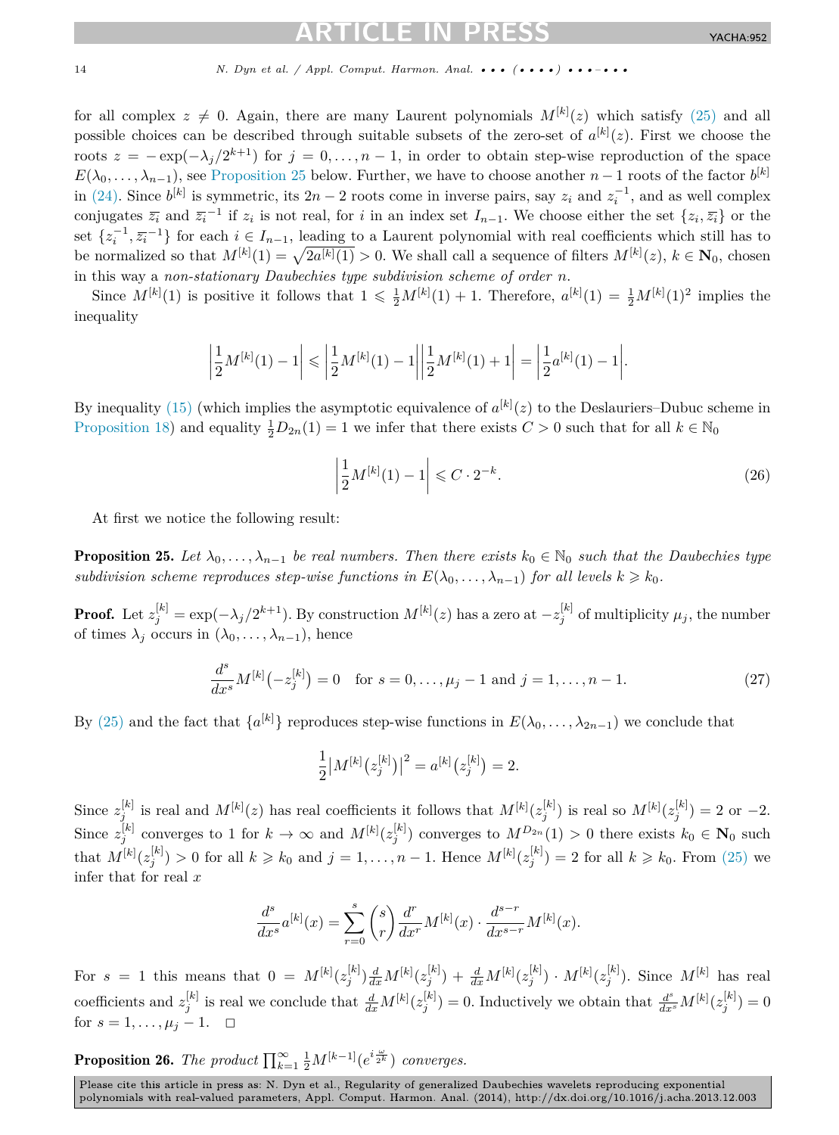<span id="page-13-0"></span>for all complex  $z \neq 0$ . Again, there are many Laurent polynomials  $M^{[k]}(z)$  which satisfy [\(25\)](#page-12-0) and all possible choices can be described through suitable subsets of the zero-set of  $a^{[k]}(z)$ . First we choose the roots  $z = -\exp(-\lambda_i/2^{k+1})$  for  $j = 0, \ldots, n-1$ , in order to obtain step-wise reproduction of the space  $E(\lambda_0, \ldots, \lambda_{n-1})$ , see Proposition 25 below. Further, we have to choose another *n* − 1 roots of the factor  $b^{[k]}$ in [\(24\).](#page-12-0) Since  $b^{[k]}$  is symmetric, its  $2n - 2$  roots come in inverse pairs, say  $z_i$  and  $z_i^{-1}$ , and as well complex conjugates  $\overline{z_i}$  and  $\overline{z_i}^{-1}$  if  $z_i$  is not real, for *i* in an index set  $I_{n-1}$ . We choose either the set  $\{z_i, \overline{z_i}\}$  or the set  $\{z_i^{-1}, \overline{z_i}^{-1}\}$  for each  $i \in I_{n-1}$ , leading to a Laurent polynomial with real coefficients which still has to be normalized so that  $M^{[k]}(1) = \sqrt{2a^{[k]}(1)} > 0$ . We shall call a sequence of filters  $M^{[k]}(z)$ ,  $k \in \mathbb{N}_0$ , chosen in this way a *non-stationary Daubechies type subdivision scheme of order n*.

Since  $M^{[k]}(1)$  is positive it follows that  $1 \leqslant \frac{1}{2}M^{[k]}(1) + 1$ . Therefore,  $a^{[k]}(1) = \frac{1}{2}M^{[k]}(1)^2$  implies the inequality

$$
\left|\frac{1}{2}M^{[k]}(1) - 1\right| \leq \left|\frac{1}{2}M^{[k]}(1) - 1\right|\left|\frac{1}{2}M^{[k]}(1) + 1\right| = \left|\frac{1}{2}a^{[k]}(1) - 1\right|.
$$

By inequality [\(15\)](#page-7-0) (which implies the asymptotic equivalence of  $a^{[k]}(z)$  to the Deslauriers–Dubuc scheme in [Proposition 18\)](#page-7-0) and equality  $\frac{1}{2}D_{2n}(1) = 1$  we infer that there exists  $C > 0$  such that for all  $k \in \mathbb{N}_0$ 

$$
\left|\frac{1}{2}M^{[k]}(1) - 1\right| \leqslant C \cdot 2^{-k}.\tag{26}
$$

At first we notice the following result:

**Proposition 25.** Let  $\lambda_0, \ldots, \lambda_{n-1}$  be real numbers. Then there exists  $k_0 \in \mathbb{N}_0$  such that the Daubechies type *subdivision scheme reproduces step-wise functions in*  $E(\lambda_0, \ldots, \lambda_{n-1})$  *for all levels*  $k \geq k_0$ *.* 

**Proof.** Let  $z_j^{[k]} = \exp(-\lambda_j/2^{k+1})$ . By construction  $M^{[k]}(z)$  has a zero at  $-z_j^{[k]}$  of multiplicity  $\mu_j$ , the number of times  $\lambda_j$  occurs in  $(\lambda_0, \ldots, \lambda_{n-1})$ , hence

$$
\frac{d^s}{dx^s}M^{[k]}(-z_j^{[k]}) = 0 \quad \text{for } s = 0, \dots, \mu_j - 1 \text{ and } j = 1, \dots, n - 1. \tag{27}
$$

By [\(25\)](#page-12-0) and the fact that  $\{a^{[k]}\}\$  reproduces step-wise functions in  $E(\lambda_0,\ldots,\lambda_{2n-1})$  we conclude that

$$
\frac{1}{2} |M^{[k]}(z_j^{[k]})|^2 = a^{[k]}(z_j^{[k]}) = 2.
$$

Since  $z_j^{[k]}$  is real and  $M^{[k]}(z)$  has real coefficients it follows that  $M^{[k]}(z_j^{[k]})$  is real so  $M^{[k]}(z_j^{[k]}) = 2$  or  $-2$ . Since  $z_j^{[k]}$  converges to 1 for  $k \to \infty$  and  $M^{[k]}(z_j^{[k]})$  converges to  $M^{D_{2n}}(1) > 0$  there exists  $k_0 \in \mathbb{N}_0$  such that  $M^{[k]}(z_j^{[k]}) > 0$  for all  $k \geq k_0$  and  $j = 1, \ldots, n-1$ . Hence  $M^{[k]}(z_j^{[k]}) = 2$  for all  $k \geq k_0$ . From [\(25\)](#page-12-0) we infer that for real *x*

$$
\frac{d^s}{dx^s}a^{[k]}(x) = \sum_{r=0}^s \binom{s}{r} \frac{d^r}{dx^r} M^{[k]}(x) \cdot \frac{d^{s-r}}{dx^{s-r}} M^{[k]}(x).
$$

For  $s = 1$  this means that  $0 = M^{[k]}(z_j^{[k]}) \frac{d}{dx} M^{[k]}(z_j^{[k]}) + \frac{d}{dx} M^{[k]}(z_j^{[k]}) \cdot M^{[k]}(z_j^{[k]}).$  Since  $M^{[k]}$  has real coefficients and  $z_j^{[k]}$  is real we conclude that  $\frac{d}{dx}M^{[k]}(z_j^{[k]})=0$ . Inductively we obtain that  $\frac{d^s}{dx^s}M^{[k]}(z_j^{[k]})=0$ for  $s = 1, ..., \mu_j - 1$ .  $\Box$ 

**Proposition 26.** *The product*  $\prod_{k=1}^{\infty} \frac{1}{2} M^{[k-1]}(e^{i\frac{\omega}{2^k}})$  *converges.*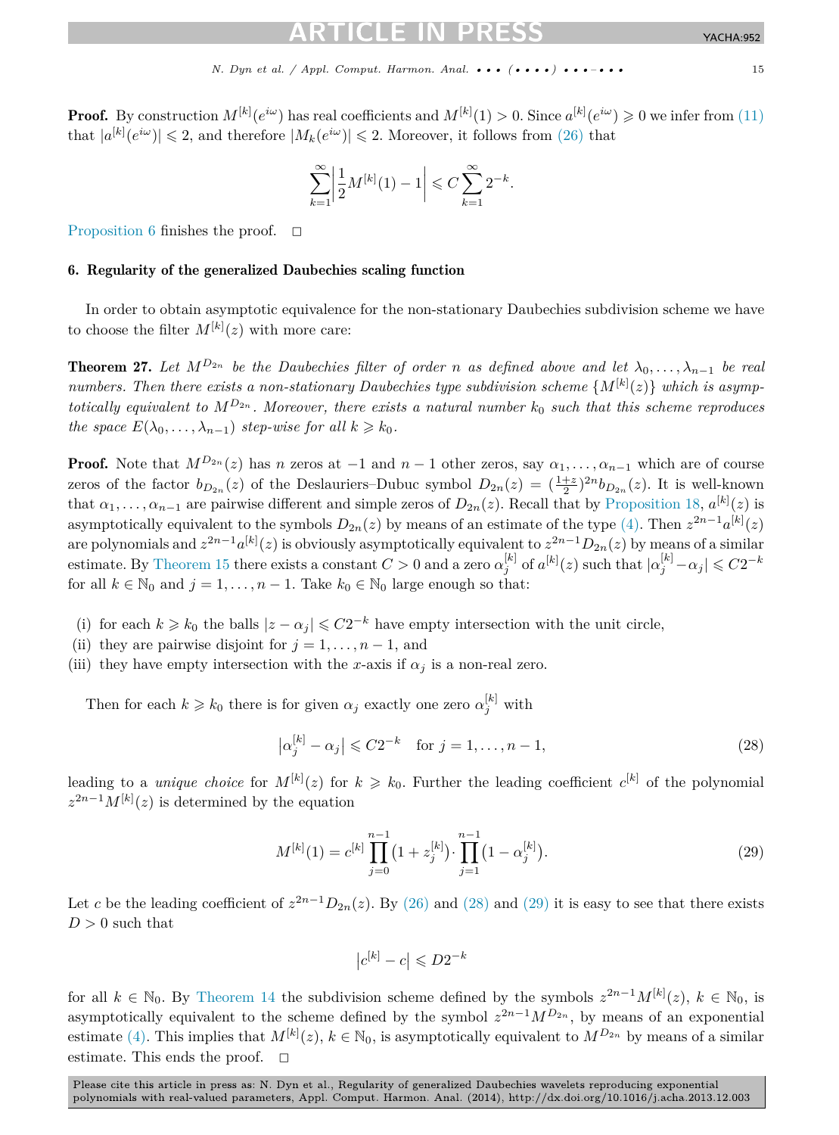<span id="page-14-0"></span>**Proof.** By construction  $M^{[k]}(e^{i\omega})$  has real coefficients and  $M^{[k]}(1) > 0$ . Since  $a^{[k]}(e^{i\omega}) \geq 0$  we infer from  $(11)$ that  $|a^{[k]}(e^{i\omega})| \leq 2$ , and therefore  $|M_k(e^{i\omega})| \leq 2$ . Moreover, it follows from [\(26\)](#page-13-0) that

$$
\sum_{k=1}^{\infty} \left| \frac{1}{2} M^{[k]}(1) - 1 \right| \leq C \sum_{k=1}^{\infty} 2^{-k}.
$$

[Proposition 6](#page-3-0) finishes the proof.  $\Box$ 

# 6. Regularity of the generalized Daubechies scaling function

In order to obtain asymptotic equivalence for the non-stationary Daubechies subdivision scheme we have to choose the filter  $M^{[k]}(z)$  with more care:

**Theorem 27.** Let  $M^{D_{2n}}$  be the Daubechies filter of order *n* as defined above and let  $\lambda_0, \ldots, \lambda_{n-1}$  be real *numbers. Then there exists a non-stationary Daubechies type subdivision scheme* {*M*[*k*] (*z*)} *which is asymptotically equivalent to M<sup>D</sup>*2*<sup>n</sup> . Moreover, there exists a natural number k*<sup>0</sup> *such that this scheme reproduces the space*  $E(\lambda_0, \ldots, \lambda_{n-1})$  *step-wise for all*  $k \geq k_0$ *.* 

**Proof.** Note that  $M^{D_{2n}}(z)$  has *n* zeros at −1 and *n* − 1 other zeros, say  $\alpha_1, \ldots, \alpha_{n-1}$  which are of course zeros of the factor  $b_{D_{2n}}(z)$  of the Deslauriers–Dubuc symbol  $D_{2n}(z) = (\frac{1+z}{2})^{2n} b_{D_{2n}}(z)$ . It is well-known that  $\alpha_1, \ldots, \alpha_{n-1}$  are pairwise different and simple zeros of  $D_{2n}(z)$ . Recall that by [Proposition 18,](#page-7-0)  $a^{[k]}(z)$  is asymptotically equivalent to the symbols  $D_{2n}(z)$  by means of an estimate of the type  $(4)$ . Then  $z^{2n-1}a^{[k]}(z)$ are polynomials and  $z^{2n-1}a^{[k]}(z)$  is obviously asymptotically equivalent to  $z^{2n-1}D_{2n}(z)$  by means of a similar  $\alpha_j^{[k]}$  of  $a^{[k]}(z)$  such that  $|a_j^{[k]} - a_j| \leqslant C2^{-k}$ for all  $k \in \mathbb{N}_0$  and  $j = 1, \ldots, n-1$ . Take  $k_0 \in \mathbb{N}_0$  large enough so that:

- (i) for each  $k \ge k_0$  the balls  $|z \alpha_j| \leq C2^{-k}$  have empty intersection with the unit circle,
- (ii) they are pairwise disjoint for  $j = 1, \ldots, n-1$ , and
- (iii) they have empty intersection with the *x*-axis if  $\alpha_j$  is a non-real zero.

Then for each  $k \geq k_0$  there is for given  $\alpha_j$  exactly one zero  $\alpha_j^{[k]}$  with

$$
\left|\alpha_j^{[k]} - \alpha_j\right| \leqslant C2^{-k} \quad \text{for } j = 1, \dots, n-1,
$$
\n
$$
(28)
$$

leading to a *unique choice* for  $M^{[k]}(z)$  for  $k \geq k_0$ . Further the leading coefficient  $c^{[k]}$  of the polynomial  $z^{2n-1}M^{[k]}(z)$  is determined by the equation

$$
M^{[k]}(1) = c^{[k]} \prod_{j=0}^{n-1} (1 + z_j^{[k]}) \cdot \prod_{j=1}^{n-1} (1 - \alpha_j^{[k]}).
$$
 (29)

Let *c* be the leading coefficient of  $z^{2n-1}D_{2n}(z)$ . By [\(26\)](#page-13-0) and (28) and (29) it is easy to see that there exists  $D > 0$  such that

$$
\left|c^{[k]}-c\right| \leqslant D2^{-k}
$$

for all  $k \in \mathbb{N}_0$ . By [Theorem 14](#page-5-0) the subdivision scheme defined by the symbols  $z^{2n-1}M^{[k]}(z)$ ,  $k \in \mathbb{N}_0$ , is asymptotically equivalent to the scheme defined by the symbol  $z^{2n-1}M^{D_{2n}}$ , by means of an exponential estimate [\(4\).](#page-5-0) This implies that  $M^{[k]}(z)$ ,  $k \in \mathbb{N}_0$ , is asymptotically equivalent to  $M^{D_{2n}}$  by means of a similar estimate. This ends the proof.  $\Box$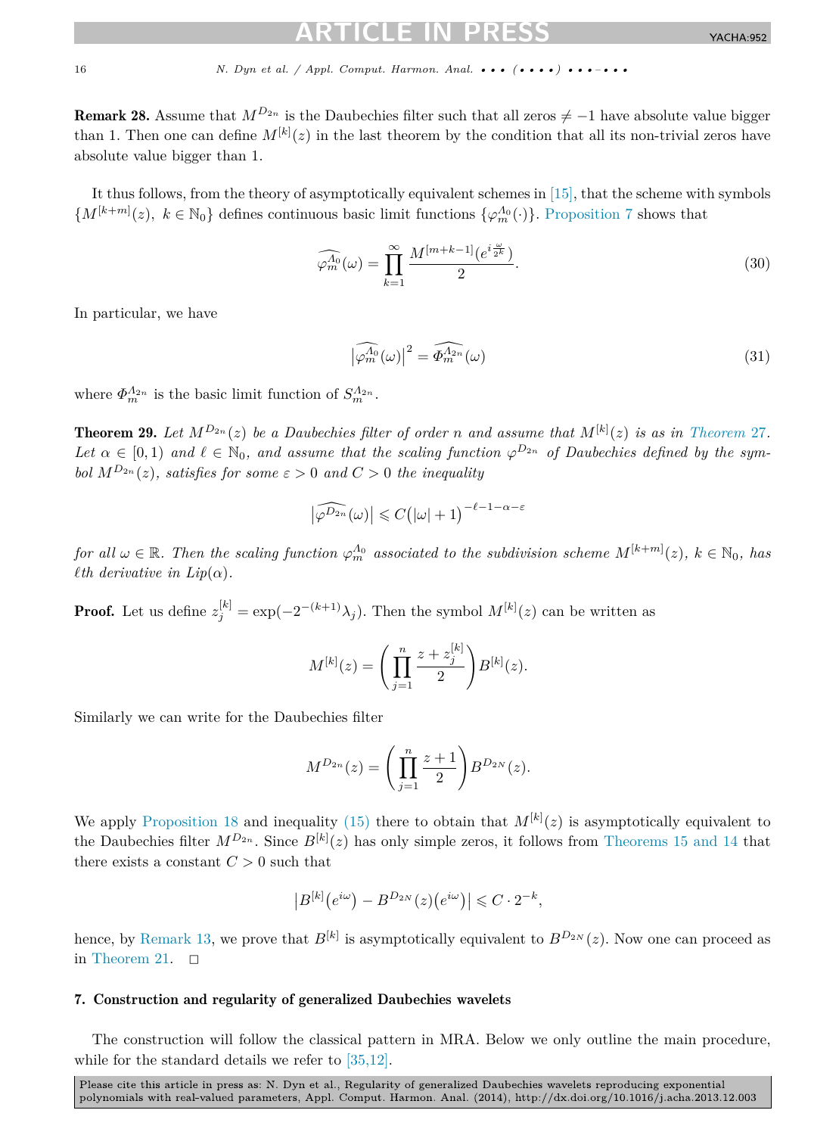<span id="page-15-0"></span>**Remark 28.** Assume that  $M^{D_{2n}}$  is the Daubechies filter such that all zeros  $\neq -1$  have absolute value bigger than 1. Then one can define  $M^{[k]}(z)$  in the last theorem by the condition that all its non-trivial zeros have absolute value bigger than 1.

It thus follows, from the theory of asymptotically equivalent schemes in [\[15\],](#page-18-0) that the scheme with symbols  ${M^{[k+m]}(z)}$ ,  $k \in \mathbb{N}_0$  defines continuous basic limit functions  ${\varphi_m^{\Lambda_0}(\cdot)}$ . [Proposition 7](#page-4-0) shows that

$$
\widehat{\varphi_m^{A_0}}(\omega) = \prod_{k=1}^{\infty} \frac{M^{[m+k-1]}(e^{i\frac{\omega}{2^k}})}{2}.
$$
\n(30)

In particular, we have

$$
\left|\widehat{\varphi_m^{A_0}}(\omega)\right|^2 = \widehat{\Phi_m^{A_{2n}}}(\omega)
$$
\n(31)

where  $\Phi_m^{\Lambda_{2n}}$  is the basic limit function of  $S_m^{\Lambda_{2n}}$ .

**[Theorem](#page-14-0) 29.** Let  $M^{D_{2n}}(z)$  be a Daubechies filter of order *n* and assume that  $M^{[k]}(z)$  is as in Theorem 27. Let  $\alpha \in [0,1)$  and  $\ell \in \mathbb{N}_0$ , and assume that the scaling function  $\varphi^{D_{2n}}$  of Daubechies defined by the sym*bol*  $M^{D_{2n}}(z)$ *, satisfies for some*  $\varepsilon > 0$  *and*  $C > 0$  *the inequality* 

$$
\left|\widehat{\varphi^{D_{2n}}}(\omega)\right| \leqslant C\big(|\omega|+1\big)^{-\ell-1-\alpha-\varepsilon}
$$

*for all*  $\omega \in \mathbb{R}$ . Then the scaling function  $\varphi_m^{A_0}$  associated to the subdivision scheme  $M^{[k+m]}(z)$ ,  $k \in \mathbb{N}_0$ , has *th derivative in Lip* $(\alpha)$ *.* 

**Proof.** Let us define  $z_j^{[k]} = \exp(-2^{-(k+1)}\lambda_j)$ . Then the symbol  $M^{[k]}(z)$  can be written as

$$
M^{[k]}(z) = \left(\prod_{j=1}^{n} \frac{z + z_j^{[k]}}{2}\right) B^{[k]}(z).
$$

Similarly we can write for the Daubechies filter

$$
M^{D_{2n}}(z) = \left(\prod_{j=1}^{n} \frac{z+1}{2}\right) B^{D_{2N}}(z).
$$

We apply [Proposition 18](#page-7-0) and inequality [\(15\)](#page-7-0) there to obtain that  $M^{[k]}(z)$  is asymptotically equivalent to the Daubechies filter  $M^{D_{2n}}$ . Since  $B^{[k]}(z)$  has only simple zeros, it follows from [Theorems 15 and 14](#page-5-0) that there exists a constant  $C > 0$  such that

$$
\left|B^{[k]}(e^{i\omega}) - B^{D_{2N}}(z)(e^{i\omega})\right| \leqslant C \cdot 2^{-k},
$$

hence, by [Remark 13,](#page-5-0) we prove that  $B^{[k]}$  is asymptotically equivalent to  $B^{D_{2N}}(z)$ . Now one can proceed as in [Theorem 21.](#page-8-0)  $\Box$ 

## 7. Construction and regularity of generalized Daubechies wavelets

The construction will follow the classical pattern in MRA. Below we only outline the main procedure, while for the standard details we refer to [\[35,12\].](#page-18-0)

Please cite this article in press as: N. Dyn et al., Regularity of generalized Daubechies wavelets reproducing exponential polynomials with real-valued parameters, Appl. Comput. Harmon. Anal. (2014), http://dx.doi.org/10.1016/j.acha.2013.12.003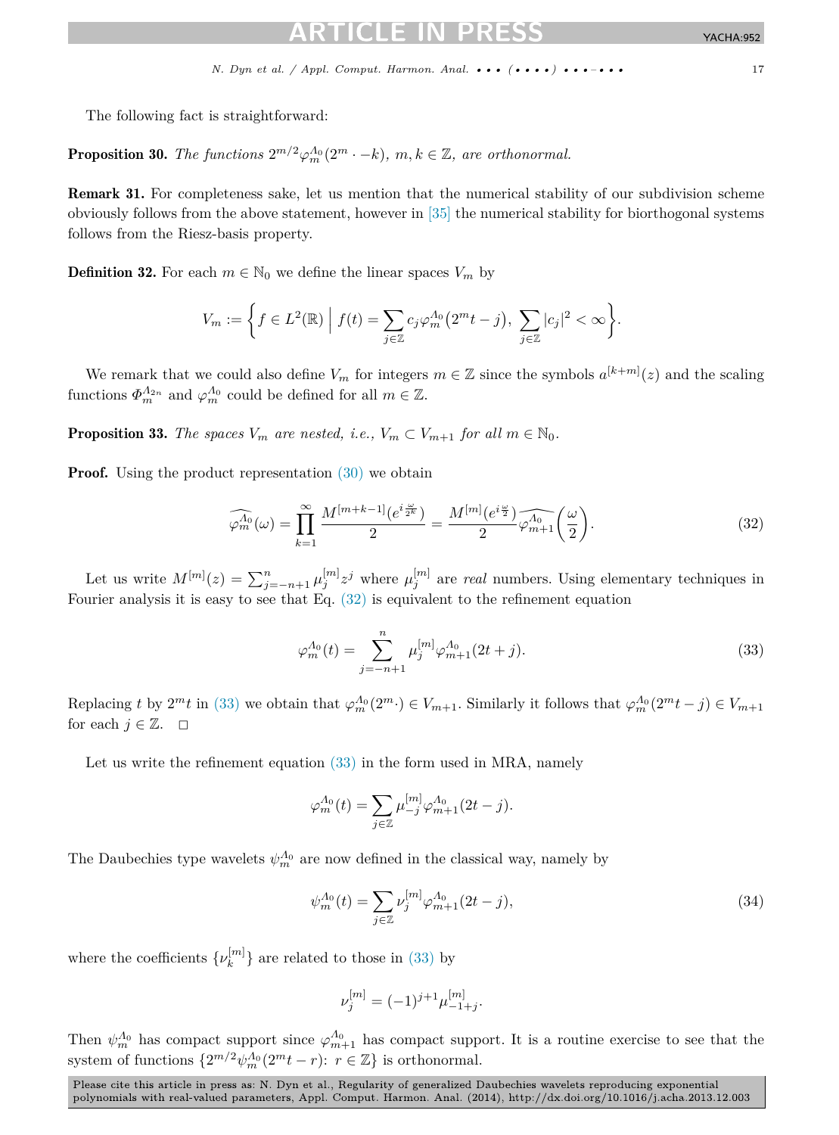YACHA:952

<span id="page-16-0"></span>The following fact is straightforward:

**Proposition 30.** *The functions*  $2^{m/2} \varphi_m^{\Lambda_0}(2^m \cdot -k)$ ,  $m, k \in \mathbb{Z}$ , are orthonormal.

Remark 31. For completeness sake, let us mention that the numerical stability of our subdivision scheme obviously follows from the above statement, however in [\[35\]](#page-18-0) the numerical stability for biorthogonal systems follows from the Riesz-basis property.

**Definition 32.** For each  $m \in \mathbb{N}_0$  we define the linear spaces  $V_m$  by

$$
V_m := \bigg\{ f \in L^2(\mathbb{R}) \bigg| f(t) = \sum_{j \in \mathbb{Z}} c_j \varphi_m^{A_0} (2^m t - j), \sum_{j \in \mathbb{Z}} |c_j|^2 < \infty \bigg\}.
$$

We remark that we could also define  $V_m$  for integers  $m \in \mathbb{Z}$  since the symbols  $a^{[k+m]}(z)$  and the scaling functions  $\Phi_m^{\Lambda_{2n}}$  and  $\varphi_m^{\Lambda_0}$  could be defined for all  $m \in \mathbb{Z}$ .

**Proposition 33.** *The spaces*  $V_m$  *are nested, i.e.,*  $V_m \subset V_{m+1}$  *for all*  $m \in \mathbb{N}_0$ *.* 

**Proof.** Using the product representation  $(30)$  we obtain

$$
\widehat{\varphi_m^{A_0}}(\omega) = \prod_{k=1}^{\infty} \frac{M^{[m+k-1]}(e^{i\frac{\omega}{2^k}})}{2} = \frac{M^{[m]}(e^{i\frac{\omega}{2}})}{2} \widehat{\varphi_{m+1}^{A_0}}\left(\frac{\omega}{2}\right). \tag{32}
$$

Let us write  $M^{[m]}(z) = \sum_{j=-n+1}^{n} \mu_j^{[m]} z^j$  where  $\mu_j^{[m]}$  are *real* numbers. Using elementary techniques in Fourier analysis it is easy to see that Eq. (32) is equivalent to the refinement equation

$$
\varphi_m^{A_0}(t) = \sum_{j=-n+1}^n \mu_j^{[m]} \varphi_{m+1}^{A_0}(2t+j). \tag{33}
$$

Replacing t by  $2^m t$  in (33) we obtain that  $\varphi_m^{A_0}(2^m \cdot) \in V_{m+1}$ . Similarly it follows that  $\varphi_m^{A_0}(2^m t - j) \in V_{m+1}$ for each  $j \in \mathbb{Z}$ .  $\Box$ 

Let us write the refinement equation  $(33)$  in the form used in MRA, namely

$$
\varphi_m^{\Lambda_0}(t) = \sum_{j \in \mathbb{Z}} \mu_{-j}^{[m]} \varphi_{m+1}^{\Lambda_0}(2t - j).
$$

The Daubechies type wavelets  $\psi_m^{A_0}$  are now defined in the classical way, namely by

$$
\psi_m^{A_0}(t) = \sum_{j \in \mathbb{Z}} \nu_j^{[m]} \varphi_{m+1}^{A_0}(2t - j),\tag{34}
$$

where the coefficients  $\{\nu_k^{[m]}\}$  are related to those in (33) by

$$
\nu_j^{[m]} = (-1)^{j+1} \mu_{-1+j}^{[m]}.
$$

Then  $\psi_m^{\Lambda_0}$  has compact support since  $\varphi_{m+1}^{\Lambda_0}$  has compact support. It is a routine exercise to see that the system of functions  $\{2^{m/2}\psi_m^{\Lambda_0}(2^m t - r): r \in \mathbb{Z}\}\$ is orthonormal.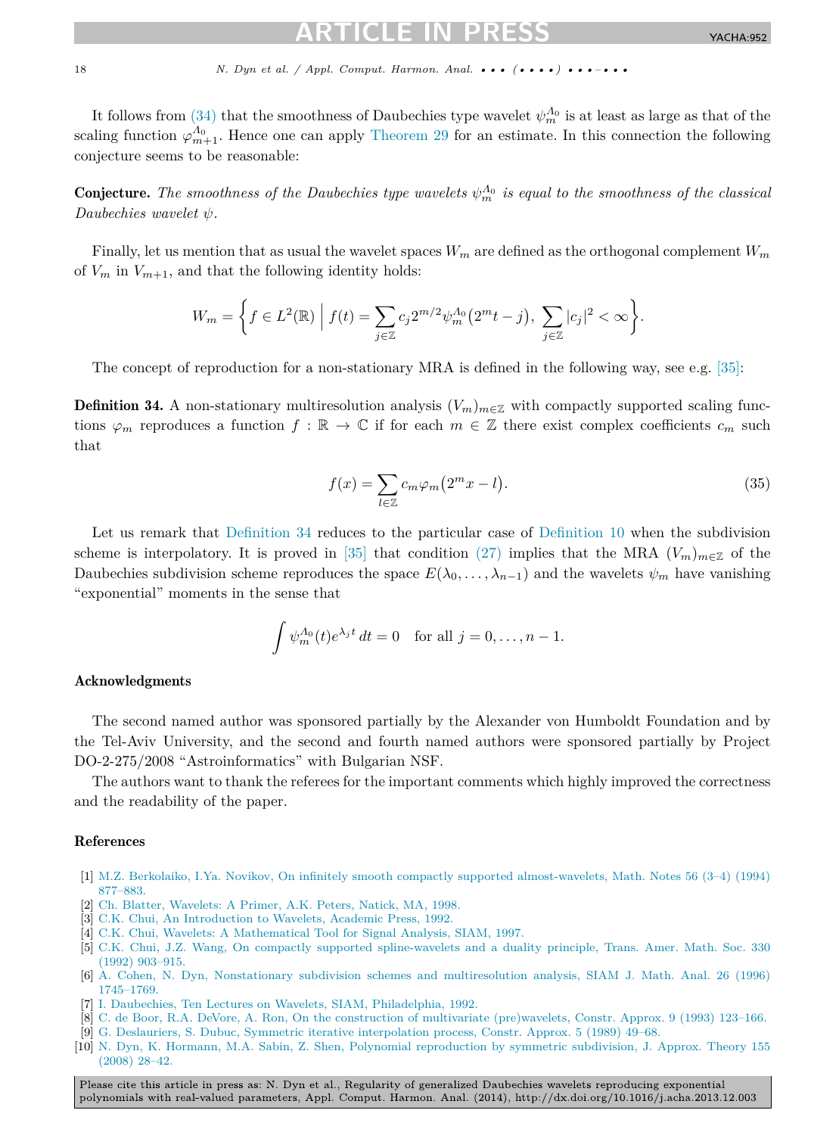<span id="page-17-0"></span>It follows from [\(34\)](#page-16-0) that the smoothness of Daubechies type wavelet  $\psi_m^{A_0}$  is at least as large as that of the scaling function  $\varphi_{m+1}^{A_0}$ . Hence one can apply [Theorem 29](#page-15-0) for an estimate. In this connection the following conjecture seems to be reasonable:

**Conjecture.** The smoothness of the Daubechies type wavelets  $\psi_m^{\Lambda_0}$  is equal to the smoothness of the classical *Daubechies wavelet ψ.*

Finally, let us mention that as usual the wavelet spaces *W<sup>m</sup>* are defined as the orthogonal complement *W<sup>m</sup>* of  $V_m$  in  $V_{m+1}$ , and that the following identity holds:

$$
W_m = \bigg\{ f \in L^2(\mathbb{R}) \; \Big| \; f(t) = \sum_{j \in \mathbb{Z}} c_j 2^{m/2} \psi_m^{\Lambda_0} (2^m t - j), \; \sum_{j \in \mathbb{Z}} |c_j|^2 < \infty \bigg\}.
$$

The concept of reproduction for a non-stationary MRA is defined in the following way, see e.g. [\[35\]:](#page-18-0)

**Definition 34.** A non-stationary multiresolution analysis  $(V_m)_{m\in\mathbb{Z}}$  with compactly supported scaling functions  $\varphi_m$  reproduces a function  $f : \mathbb{R} \to \mathbb{C}$  if for each  $m \in \mathbb{Z}$  there exist complex coefficients  $c_m$  such that

$$
f(x) = \sum_{l \in \mathbb{Z}} c_m \varphi_m \left( 2^m x - l \right). \tag{35}
$$

Let us remark that Definition 34 reduces to the particular case of [Definition 10](#page-4-0) when the subdivision scheme is interpolatory. It is proved in [\[35\]](#page-18-0) that condition [\(27\)](#page-13-0) implies that the MRA  $(V_m)_{m\in\mathbb{Z}}$  of the Daubechies subdivision scheme reproduces the space  $E(\lambda_0, \ldots, \lambda_{n-1})$  and the wavelets  $\psi_m$  have vanishing "exponential" moments in the sense that

$$
\int \psi_m^{A_0}(t)e^{\lambda_j t} dt = 0 \text{ for all } j = 0, \dots, n-1.
$$

# Acknowledgments

The second named author was sponsored partially by the Alexander von Humboldt Foundation and by the Tel-Aviv University, and the second and fourth named authors were sponsored partially by Project DO-2-275/2008 "Astroinformatics" with Bulgarian NSF.

The authors want to thank the referees for the important comments which highly improved the correctness and the readability of the paper.

# References

- [1] [M.Z. Berkolaiko, I.Ya. Novikov, On infinitely smooth compactly supported almost-wavelets, Math. Notes 56 \(3–4\) \(1994\)](http://refhub.elsevier.com/S1063-5203(13)00111-5/bib42654E6F3934s1) [877–883.](http://refhub.elsevier.com/S1063-5203(13)00111-5/bib42654E6F3934s1)
- [2] Ch. [Blatter, Wavelets: A Primer, A.K. Peters, Natick, MA, 1998.](http://refhub.elsevier.com/S1063-5203(13)00111-5/bib626C6174746572s1)
- [3] C.K. [Chui, An Introduction to Wavelets, Academic Press, 1992.](http://refhub.elsevier.com/S1063-5203(13)00111-5/bib4368756931s1)
- [4] C.K. [Chui, Wavelets: A Mathematical Tool for Signal Analysis, SIAM, 1997.](http://refhub.elsevier.com/S1063-5203(13)00111-5/bib4368756932s1)
- [5] C.K. [Chui, J.Z. Wang, On compactly supported spline-wavelets and a duality principle, Trans. Amer. Math. Soc. 330](http://refhub.elsevier.com/S1063-5203(13)00111-5/bib436857613932s1) (1992) [903–915.](http://refhub.elsevier.com/S1063-5203(13)00111-5/bib436857613932s1)
- [6] A. [Cohen, N. Dyn, Nonstationary subdivision schemes and multiresolution analysis, SIAM J. Math. Anal. 26 \(1996\)](http://refhub.elsevier.com/S1063-5203(13)00111-5/bib436F44793936s1) [1745–1769.](http://refhub.elsevier.com/S1063-5203(13)00111-5/bib436F44793936s1)
- [7] I. [Daubechies, Ten Lectures on Wavelets, SIAM, Philadelphia, 1992.](http://refhub.elsevier.com/S1063-5203(13)00111-5/bib64617562656368696573s1)
- [8] C. [de Boor, R.A. DeVore, A. Ron, On the construction of multivariate \(pre\)wavelets, Constr. Approx. 9 \(1993\) 123–166.](http://refhub.elsevier.com/S1063-5203(13)00111-5/bib6465426F6F724465566F7265526F6Es1)
- [9] G. [Deslauriers, S. Dubuc, Symmetric iterative interpolation process, Constr. Approx. 5 \(1989\) 49–68.](http://refhub.elsevier.com/S1063-5203(13)00111-5/bib6465736C617572696572447562756331393839s1)
- [10] N. [Dyn, K. Hormann, M.A. Sabin, Z. Shen, Polynomial reproduction by symmetric subdivision, J. Approx. Theory 155](http://refhub.elsevier.com/S1063-5203(13)00111-5/bib444853533038s1) [\(2008\)](http://refhub.elsevier.com/S1063-5203(13)00111-5/bib444853533038s1) 28–42.